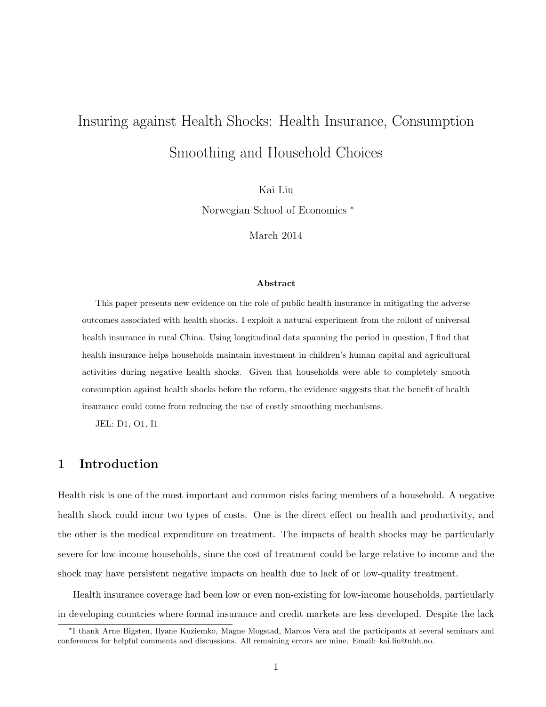# Insuring against Health Shocks: Health Insurance, Consumption Smoothing and Household Choices

Kai Liu

Norwegian School of Economics <sup>∗</sup>

March 2014

#### Abstract

This paper presents new evidence on the role of public health insurance in mitigating the adverse outcomes associated with health shocks. I exploit a natural experiment from the rollout of universal health insurance in rural China. Using longitudinal data spanning the period in question, I find that health insurance helps households maintain investment in children's human capital and agricultural activities during negative health shocks. Given that households were able to completely smooth consumption against health shocks before the reform, the evidence suggests that the benefit of health insurance could come from reducing the use of costly smoothing mechanisms.

JEL: D1, O1, I1

# 1 Introduction

Health risk is one of the most important and common risks facing members of a household. A negative health shock could incur two types of costs. One is the direct effect on health and productivity, and the other is the medical expenditure on treatment. The impacts of health shocks may be particularly severe for low-income households, since the cost of treatment could be large relative to income and the shock may have persistent negative impacts on health due to lack of or low-quality treatment.

Health insurance coverage had been low or even non-existing for low-income households, particularly in developing countries where formal insurance and credit markets are less developed. Despite the lack

<sup>∗</sup> I thank Arne Bigsten, Ilyane Kuziemko, Magne Mogstad, Marcos Vera and the participants at several seminars and conferences for helpful comments and discussions. All remaining errors are mine. Email: kai.liu@nhh.no.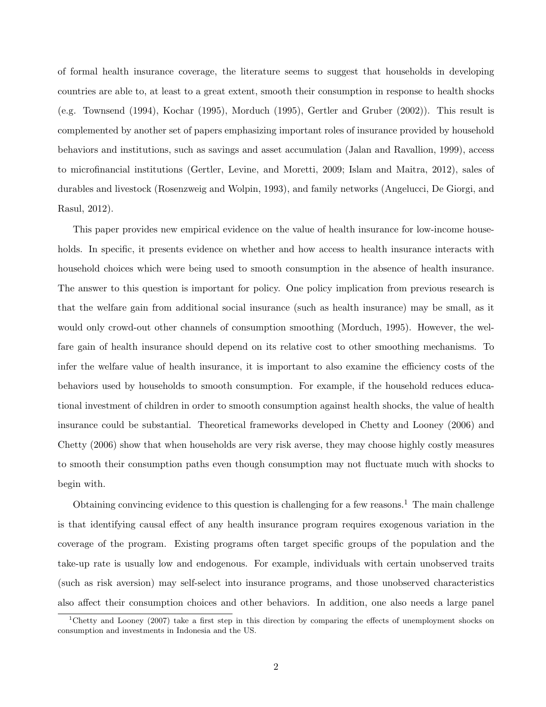of formal health insurance coverage, the literature seems to suggest that households in developing countries are able to, at least to a great extent, smooth their consumption in response to health shocks (e.g. Townsend (1994), Kochar (1995), Morduch (1995), Gertler and Gruber (2002)). This result is complemented by another set of papers emphasizing important roles of insurance provided by household behaviors and institutions, such as savings and asset accumulation (Jalan and Ravallion, 1999), access to microfinancial institutions (Gertler, Levine, and Moretti, 2009; Islam and Maitra, 2012), sales of durables and livestock (Rosenzweig and Wolpin, 1993), and family networks (Angelucci, De Giorgi, and Rasul, 2012).

This paper provides new empirical evidence on the value of health insurance for low-income households. In specific, it presents evidence on whether and how access to health insurance interacts with household choices which were being used to smooth consumption in the absence of health insurance. The answer to this question is important for policy. One policy implication from previous research is that the welfare gain from additional social insurance (such as health insurance) may be small, as it would only crowd-out other channels of consumption smoothing (Morduch, 1995). However, the welfare gain of health insurance should depend on its relative cost to other smoothing mechanisms. To infer the welfare value of health insurance, it is important to also examine the efficiency costs of the behaviors used by households to smooth consumption. For example, if the household reduces educational investment of children in order to smooth consumption against health shocks, the value of health insurance could be substantial. Theoretical frameworks developed in Chetty and Looney (2006) and Chetty (2006) show that when households are very risk averse, they may choose highly costly measures to smooth their consumption paths even though consumption may not fluctuate much with shocks to begin with.

Obtaining convincing evidence to this question is challenging for a few reasons.<sup>1</sup> The main challenge is that identifying causal effect of any health insurance program requires exogenous variation in the coverage of the program. Existing programs often target specific groups of the population and the take-up rate is usually low and endogenous. For example, individuals with certain unobserved traits (such as risk aversion) may self-select into insurance programs, and those unobserved characteristics also affect their consumption choices and other behaviors. In addition, one also needs a large panel

<sup>1</sup>Chetty and Looney (2007) take a first step in this direction by comparing the effects of unemployment shocks on consumption and investments in Indonesia and the US.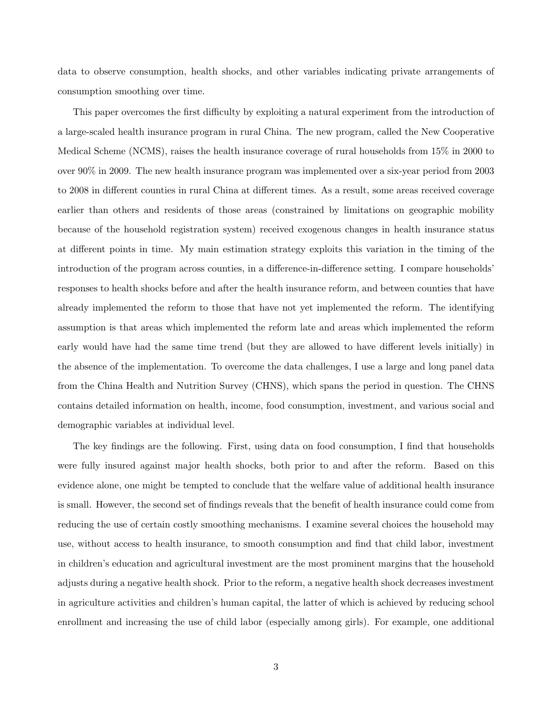data to observe consumption, health shocks, and other variables indicating private arrangements of consumption smoothing over time.

This paper overcomes the first difficulty by exploiting a natural experiment from the introduction of a large-scaled health insurance program in rural China. The new program, called the New Cooperative Medical Scheme (NCMS), raises the health insurance coverage of rural households from 15% in 2000 to over 90% in 2009. The new health insurance program was implemented over a six-year period from 2003 to 2008 in different counties in rural China at different times. As a result, some areas received coverage earlier than others and residents of those areas (constrained by limitations on geographic mobility because of the household registration system) received exogenous changes in health insurance status at different points in time. My main estimation strategy exploits this variation in the timing of the introduction of the program across counties, in a difference-in-difference setting. I compare households' responses to health shocks before and after the health insurance reform, and between counties that have already implemented the reform to those that have not yet implemented the reform. The identifying assumption is that areas which implemented the reform late and areas which implemented the reform early would have had the same time trend (but they are allowed to have different levels initially) in the absence of the implementation. To overcome the data challenges, I use a large and long panel data from the China Health and Nutrition Survey (CHNS), which spans the period in question. The CHNS contains detailed information on health, income, food consumption, investment, and various social and demographic variables at individual level.

The key findings are the following. First, using data on food consumption, I find that households were fully insured against major health shocks, both prior to and after the reform. Based on this evidence alone, one might be tempted to conclude that the welfare value of additional health insurance is small. However, the second set of findings reveals that the benefit of health insurance could come from reducing the use of certain costly smoothing mechanisms. I examine several choices the household may use, without access to health insurance, to smooth consumption and find that child labor, investment in children's education and agricultural investment are the most prominent margins that the household adjusts during a negative health shock. Prior to the reform, a negative health shock decreases investment in agriculture activities and children's human capital, the latter of which is achieved by reducing school enrollment and increasing the use of child labor (especially among girls). For example, one additional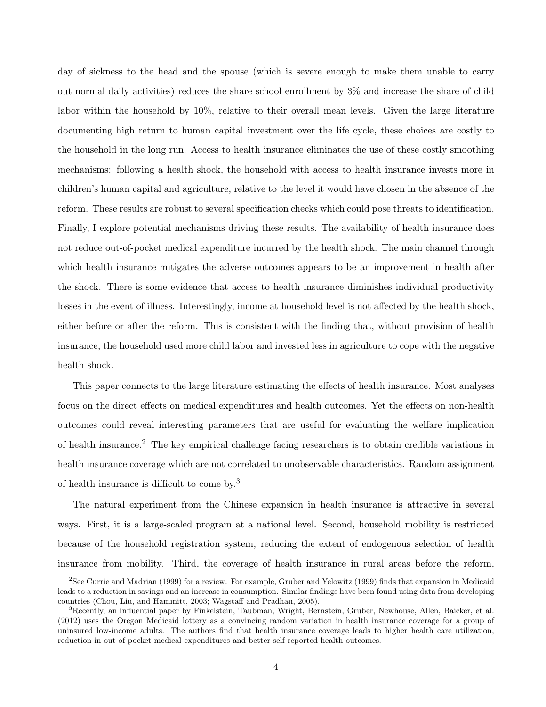day of sickness to the head and the spouse (which is severe enough to make them unable to carry out normal daily activities) reduces the share school enrollment by 3% and increase the share of child labor within the household by 10%, relative to their overall mean levels. Given the large literature documenting high return to human capital investment over the life cycle, these choices are costly to the household in the long run. Access to health insurance eliminates the use of these costly smoothing mechanisms: following a health shock, the household with access to health insurance invests more in children's human capital and agriculture, relative to the level it would have chosen in the absence of the reform. These results are robust to several specification checks which could pose threats to identification. Finally, I explore potential mechanisms driving these results. The availability of health insurance does not reduce out-of-pocket medical expenditure incurred by the health shock. The main channel through which health insurance mitigates the adverse outcomes appears to be an improvement in health after the shock. There is some evidence that access to health insurance diminishes individual productivity losses in the event of illness. Interestingly, income at household level is not affected by the health shock, either before or after the reform. This is consistent with the finding that, without provision of health insurance, the household used more child labor and invested less in agriculture to cope with the negative health shock.

This paper connects to the large literature estimating the effects of health insurance. Most analyses focus on the direct effects on medical expenditures and health outcomes. Yet the effects on non-health outcomes could reveal interesting parameters that are useful for evaluating the welfare implication of health insurance.<sup>2</sup> The key empirical challenge facing researchers is to obtain credible variations in health insurance coverage which are not correlated to unobservable characteristics. Random assignment of health insurance is difficult to come by.<sup>3</sup>

The natural experiment from the Chinese expansion in health insurance is attractive in several ways. First, it is a large-scaled program at a national level. Second, household mobility is restricted because of the household registration system, reducing the extent of endogenous selection of health insurance from mobility. Third, the coverage of health insurance in rural areas before the reform,

<sup>&</sup>lt;sup>2</sup>See Currie and Madrian (1999) for a review. For example, Gruber and Yelowitz (1999) finds that expansion in Medicaid leads to a reduction in savings and an increase in consumption. Similar findings have been found using data from developing countries (Chou, Liu, and Hammitt, 2003; Wagstaff and Pradhan, 2005).

<sup>3</sup>Recently, an influential paper by Finkelstein, Taubman, Wright, Bernstein, Gruber, Newhouse, Allen, Baicker, et al. (2012) uses the Oregon Medicaid lottery as a convincing random variation in health insurance coverage for a group of uninsured low-income adults. The authors find that health insurance coverage leads to higher health care utilization, reduction in out-of-pocket medical expenditures and better self-reported health outcomes.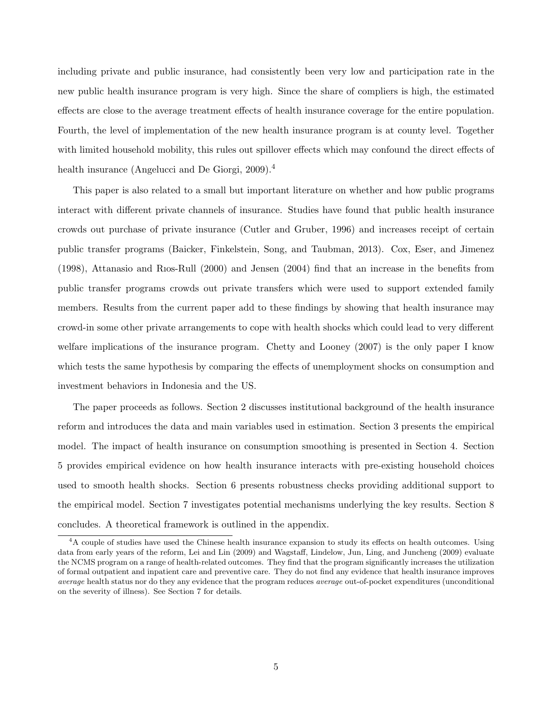including private and public insurance, had consistently been very low and participation rate in the new public health insurance program is very high. Since the share of compliers is high, the estimated effects are close to the average treatment effects of health insurance coverage for the entire population. Fourth, the level of implementation of the new health insurance program is at county level. Together with limited household mobility, this rules out spillover effects which may confound the direct effects of health insurance (Angelucci and De Giorgi, 2009).<sup>4</sup>

This paper is also related to a small but important literature on whether and how public programs interact with different private channels of insurance. Studies have found that public health insurance crowds out purchase of private insurance (Cutler and Gruber, 1996) and increases receipt of certain public transfer programs (Baicker, Finkelstein, Song, and Taubman, 2013). Cox, Eser, and Jimenez (1998), Attanasio and Rıos-Rull (2000) and Jensen (2004) find that an increase in the benefits from public transfer programs crowds out private transfers which were used to support extended family members. Results from the current paper add to these findings by showing that health insurance may crowd-in some other private arrangements to cope with health shocks which could lead to very different welfare implications of the insurance program. Chetty and Looney (2007) is the only paper I know which tests the same hypothesis by comparing the effects of unemployment shocks on consumption and investment behaviors in Indonesia and the US.

The paper proceeds as follows. Section 2 discusses institutional background of the health insurance reform and introduces the data and main variables used in estimation. Section 3 presents the empirical model. The impact of health insurance on consumption smoothing is presented in Section 4. Section 5 provides empirical evidence on how health insurance interacts with pre-existing household choices used to smooth health shocks. Section 6 presents robustness checks providing additional support to the empirical model. Section 7 investigates potential mechanisms underlying the key results. Section 8 concludes. A theoretical framework is outlined in the appendix.

<sup>&</sup>lt;sup>4</sup>A couple of studies have used the Chinese health insurance expansion to study its effects on health outcomes. Using data from early years of the reform, Lei and Lin (2009) and Wagstaff, Lindelow, Jun, Ling, and Juncheng (2009) evaluate the NCMS program on a range of health-related outcomes. They find that the program significantly increases the utilization of formal outpatient and inpatient care and preventive care. They do not find any evidence that health insurance improves average health status nor do they any evidence that the program reduces average out-of-pocket expenditures (unconditional on the severity of illness). See Section 7 for details.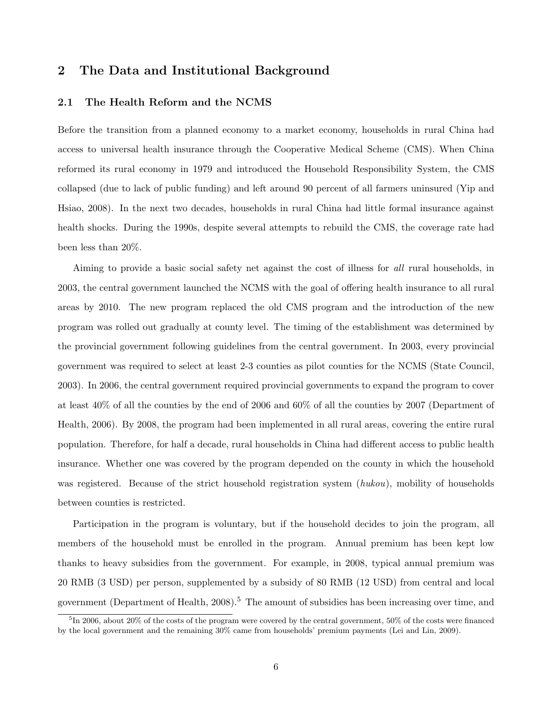# 2 The Data and Institutional Background

## 2.1 The Health Reform and the NCMS

Before the transition from a planned economy to a market economy, households in rural China had access to universal health insurance through the Cooperative Medical Scheme (CMS). When China reformed its rural economy in 1979 and introduced the Household Responsibility System, the CMS collapsed (due to lack of public funding) and left around 90 percent of all farmers uninsured (Yip and Hsiao, 2008). In the next two decades, households in rural China had little formal insurance against health shocks. During the 1990s, despite several attempts to rebuild the CMS, the coverage rate had been less than 20%.

Aiming to provide a basic social safety net against the cost of illness for all rural households, in 2003, the central government launched the NCMS with the goal of offering health insurance to all rural areas by 2010. The new program replaced the old CMS program and the introduction of the new program was rolled out gradually at county level. The timing of the establishment was determined by the provincial government following guidelines from the central government. In 2003, every provincial government was required to select at least 2-3 counties as pilot counties for the NCMS (State Council, 2003). In 2006, the central government required provincial governments to expand the program to cover at least 40% of all the counties by the end of 2006 and 60% of all the counties by 2007 (Department of Health, 2006). By 2008, the program had been implemented in all rural areas, covering the entire rural population. Therefore, for half a decade, rural households in China had different access to public health insurance. Whether one was covered by the program depended on the county in which the household was registered. Because of the strict household registration system (hukou), mobility of households between counties is restricted.

Participation in the program is voluntary, but if the household decides to join the program, all members of the household must be enrolled in the program. Annual premium has been kept low thanks to heavy subsidies from the government. For example, in 2008, typical annual premium was 20 RMB (3 USD) per person, supplemented by a subsidy of 80 RMB (12 USD) from central and local government (Department of Health,  $2008$ ).<sup>5</sup> The amount of subsidies has been increasing over time, and

 ${}^{5}$ In 2006, about 20% of the costs of the program were covered by the central government, 50% of the costs were financed by the local government and the remaining 30% came from households' premium payments (Lei and Lin, 2009).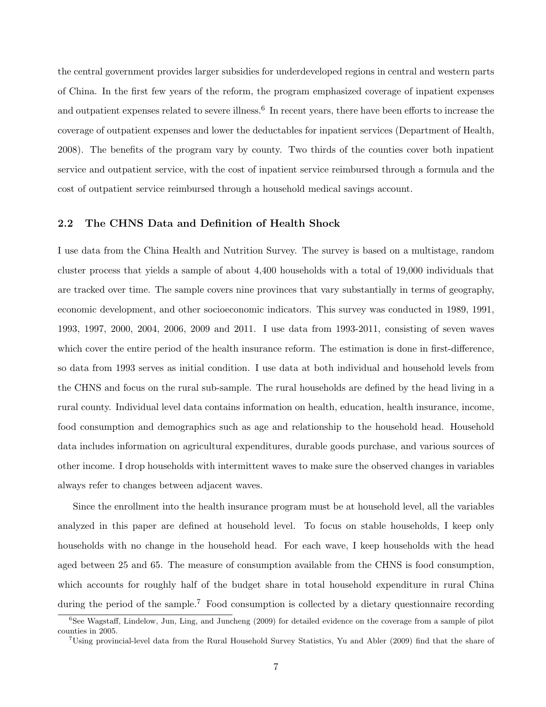the central government provides larger subsidies for underdeveloped regions in central and western parts of China. In the first few years of the reform, the program emphasized coverage of inpatient expenses and outpatient expenses related to severe illness.<sup>6</sup> In recent years, there have been efforts to increase the coverage of outpatient expenses and lower the deductables for inpatient services (Department of Health, 2008). The benefits of the program vary by county. Two thirds of the counties cover both inpatient service and outpatient service, with the cost of inpatient service reimbursed through a formula and the cost of outpatient service reimbursed through a household medical savings account.

## 2.2 The CHNS Data and Definition of Health Shock

I use data from the China Health and Nutrition Survey. The survey is based on a multistage, random cluster process that yields a sample of about 4,400 households with a total of 19,000 individuals that are tracked over time. The sample covers nine provinces that vary substantially in terms of geography, economic development, and other socioeconomic indicators. This survey was conducted in 1989, 1991, 1993, 1997, 2000, 2004, 2006, 2009 and 2011. I use data from 1993-2011, consisting of seven waves which cover the entire period of the health insurance reform. The estimation is done in first-difference, so data from 1993 serves as initial condition. I use data at both individual and household levels from the CHNS and focus on the rural sub-sample. The rural households are defined by the head living in a rural county. Individual level data contains information on health, education, health insurance, income, food consumption and demographics such as age and relationship to the household head. Household data includes information on agricultural expenditures, durable goods purchase, and various sources of other income. I drop households with intermittent waves to make sure the observed changes in variables always refer to changes between adjacent waves.

Since the enrollment into the health insurance program must be at household level, all the variables analyzed in this paper are defined at household level. To focus on stable households, I keep only households with no change in the household head. For each wave, I keep households with the head aged between 25 and 65. The measure of consumption available from the CHNS is food consumption, which accounts for roughly half of the budget share in total household expenditure in rural China during the period of the sample.<sup>7</sup> Food consumption is collected by a dietary questionnaire recording

<sup>&</sup>lt;sup>6</sup>See Wagstaff, Lindelow, Jun, Ling, and Juncheng (2009) for detailed evidence on the coverage from a sample of pilot counties in 2005.

<sup>7</sup>Using provincial-level data from the Rural Household Survey Statistics, Yu and Abler (2009) find that the share of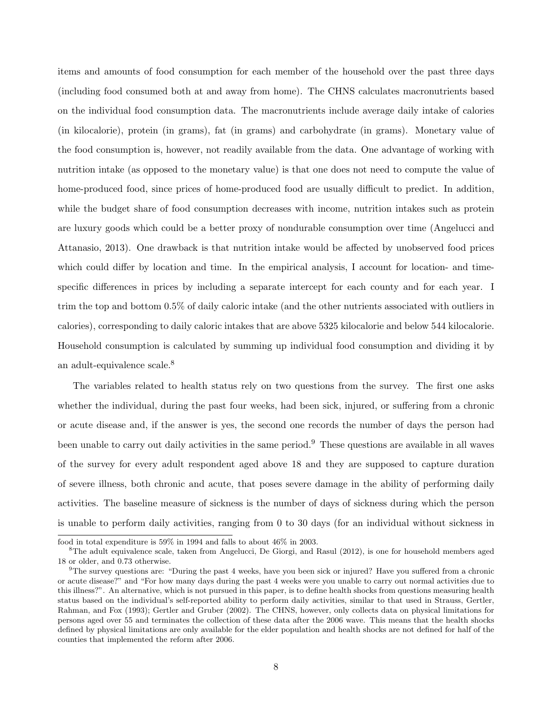items and amounts of food consumption for each member of the household over the past three days (including food consumed both at and away from home). The CHNS calculates macronutrients based on the individual food consumption data. The macronutrients include average daily intake of calories (in kilocalorie), protein (in grams), fat (in grams) and carbohydrate (in grams). Monetary value of the food consumption is, however, not readily available from the data. One advantage of working with nutrition intake (as opposed to the monetary value) is that one does not need to compute the value of home-produced food, since prices of home-produced food are usually difficult to predict. In addition, while the budget share of food consumption decreases with income, nutrition intakes such as protein are luxury goods which could be a better proxy of nondurable consumption over time (Angelucci and Attanasio, 2013). One drawback is that nutrition intake would be affected by unobserved food prices which could differ by location and time. In the empirical analysis, I account for location- and timespecific differences in prices by including a separate intercept for each county and for each year. I trim the top and bottom 0.5% of daily caloric intake (and the other nutrients associated with outliers in calories), corresponding to daily caloric intakes that are above 5325 kilocalorie and below 544 kilocalorie. Household consumption is calculated by summing up individual food consumption and dividing it by an adult-equivalence scale.<sup>8</sup>

The variables related to health status rely on two questions from the survey. The first one asks whether the individual, during the past four weeks, had been sick, injured, or suffering from a chronic or acute disease and, if the answer is yes, the second one records the number of days the person had been unable to carry out daily activities in the same period.<sup>9</sup> These questions are available in all waves of the survey for every adult respondent aged above 18 and they are supposed to capture duration of severe illness, both chronic and acute, that poses severe damage in the ability of performing daily activities. The baseline measure of sickness is the number of days of sickness during which the person is unable to perform daily activities, ranging from 0 to 30 days (for an individual without sickness in

food in total expenditure is 59% in 1994 and falls to about 46% in 2003.

 ${}^8$ The adult equivalence scale, taken from Angelucci, De Giorgi, and Rasul (2012), is one for household members aged 18 or older, and 0.73 otherwise.

<sup>&</sup>lt;sup>9</sup>The survey questions are: "During the past 4 weeks, have you been sick or injured? Have you suffered from a chronic or acute disease?" and "For how many days during the past 4 weeks were you unable to carry out normal activities due to this illness?". An alternative, which is not pursued in this paper, is to define health shocks from questions measuring health status based on the individual's self-reported ability to perform daily activities, similar to that used in Strauss, Gertler, Rahman, and Fox (1993); Gertler and Gruber (2002). The CHNS, however, only collects data on physical limitations for persons aged over 55 and terminates the collection of these data after the 2006 wave. This means that the health shocks defined by physical limitations are only available for the elder population and health shocks are not defined for half of the counties that implemented the reform after 2006.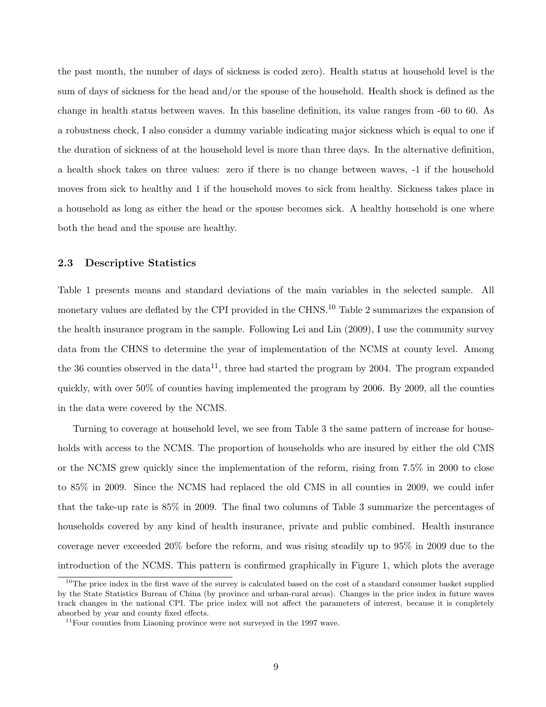the past month, the number of days of sickness is coded zero). Health status at household level is the sum of days of sickness for the head and/or the spouse of the household. Health shock is defined as the change in health status between waves. In this baseline definition, its value ranges from -60 to 60. As a robustness check, I also consider a dummy variable indicating major sickness which is equal to one if the duration of sickness of at the household level is more than three days. In the alternative definition, a health shock takes on three values: zero if there is no change between waves, -1 if the household moves from sick to healthy and 1 if the household moves to sick from healthy. Sickness takes place in a household as long as either the head or the spouse becomes sick. A healthy household is one where both the head and the spouse are healthy.

## 2.3 Descriptive Statistics

Table 1 presents means and standard deviations of the main variables in the selected sample. All monetary values are deflated by the CPI provided in the CHNS.<sup>10</sup> Table 2 summarizes the expansion of the health insurance program in the sample. Following Lei and Lin (2009), I use the community survey data from the CHNS to determine the year of implementation of the NCMS at county level. Among the 36 counties observed in the data<sup>11</sup>, three had started the program by 2004. The program expanded quickly, with over 50% of counties having implemented the program by 2006. By 2009, all the counties in the data were covered by the NCMS.

Turning to coverage at household level, we see from Table 3 the same pattern of increase for households with access to the NCMS. The proportion of households who are insured by either the old CMS or the NCMS grew quickly since the implementation of the reform, rising from 7.5% in 2000 to close to 85% in 2009. Since the NCMS had replaced the old CMS in all counties in 2009, we could infer that the take-up rate is 85% in 2009. The final two columns of Table 3 summarize the percentages of households covered by any kind of health insurance, private and public combined. Health insurance coverage never exceeded 20% before the reform, and was rising steadily up to 95% in 2009 due to the introduction of the NCMS. This pattern is confirmed graphically in Figure 1, which plots the average

 $10$ The price index in the first wave of the survey is calculated based on the cost of a standard consumer basket supplied by the State Statistics Bureau of China (by province and urban-rural areas). Changes in the price index in future waves track changes in the national CPI. The price index will not affect the parameters of interest, because it is completely absorbed by year and county fixed effects.

 $11$ Four counties from Liaoning province were not surveyed in the 1997 wave.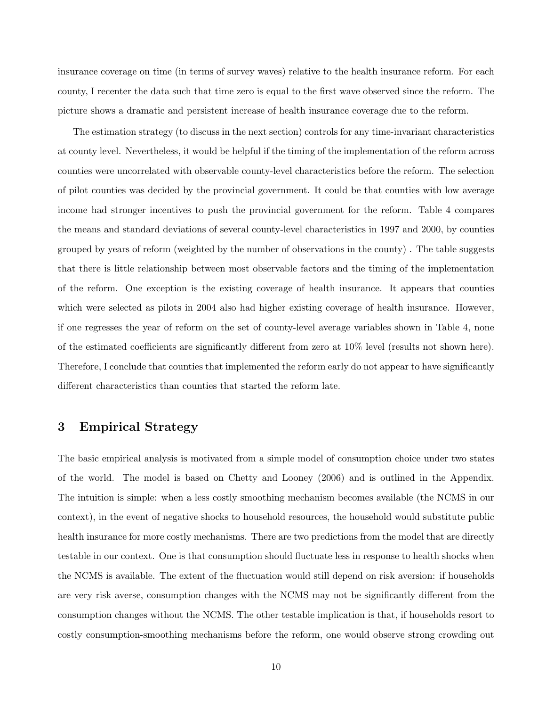insurance coverage on time (in terms of survey waves) relative to the health insurance reform. For each county, I recenter the data such that time zero is equal to the first wave observed since the reform. The picture shows a dramatic and persistent increase of health insurance coverage due to the reform.

The estimation strategy (to discuss in the next section) controls for any time-invariant characteristics at county level. Nevertheless, it would be helpful if the timing of the implementation of the reform across counties were uncorrelated with observable county-level characteristics before the reform. The selection of pilot counties was decided by the provincial government. It could be that counties with low average income had stronger incentives to push the provincial government for the reform. Table 4 compares the means and standard deviations of several county-level characteristics in 1997 and 2000, by counties grouped by years of reform (weighted by the number of observations in the county) . The table suggests that there is little relationship between most observable factors and the timing of the implementation of the reform. One exception is the existing coverage of health insurance. It appears that counties which were selected as pilots in 2004 also had higher existing coverage of health insurance. However, if one regresses the year of reform on the set of county-level average variables shown in Table 4, none of the estimated coefficients are significantly different from zero at 10% level (results not shown here). Therefore, I conclude that counties that implemented the reform early do not appear to have significantly different characteristics than counties that started the reform late.

# 3 Empirical Strategy

The basic empirical analysis is motivated from a simple model of consumption choice under two states of the world. The model is based on Chetty and Looney (2006) and is outlined in the Appendix. The intuition is simple: when a less costly smoothing mechanism becomes available (the NCMS in our context), in the event of negative shocks to household resources, the household would substitute public health insurance for more costly mechanisms. There are two predictions from the model that are directly testable in our context. One is that consumption should fluctuate less in response to health shocks when the NCMS is available. The extent of the fluctuation would still depend on risk aversion: if households are very risk averse, consumption changes with the NCMS may not be significantly different from the consumption changes without the NCMS. The other testable implication is that, if households resort to costly consumption-smoothing mechanisms before the reform, one would observe strong crowding out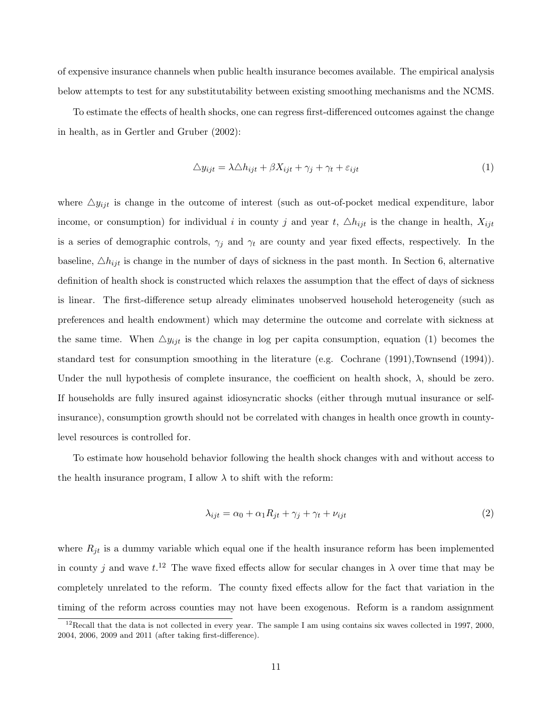of expensive insurance channels when public health insurance becomes available. The empirical analysis below attempts to test for any substitutability between existing smoothing mechanisms and the NCMS.

To estimate the effects of health shocks, one can regress first-differenced outcomes against the change in health, as in Gertler and Gruber (2002):

$$
\Delta y_{ijt} = \lambda \Delta h_{ijt} + \beta X_{ijt} + \gamma_j + \gamma_t + \varepsilon_{ijt}
$$
\n<sup>(1)</sup>

where  $\triangle y_{ijt}$  is change in the outcome of interest (such as out-of-pocket medical expenditure, labor income, or consumption) for individual i in county j and year t,  $\Delta h_{ijt}$  is the change in health,  $X_{ijt}$ is a series of demographic controls,  $\gamma_j$  and  $\gamma_t$  are county and year fixed effects, respectively. In the baseline,  $\triangle h_{ijt}$  is change in the number of days of sickness in the past month. In Section 6, alternative definition of health shock is constructed which relaxes the assumption that the effect of days of sickness is linear. The first-difference setup already eliminates unobserved household heterogeneity (such as preferences and health endowment) which may determine the outcome and correlate with sickness at the same time. When  $\Delta y_{ijt}$  is the change in log per capita consumption, equation (1) becomes the standard test for consumption smoothing in the literature (e.g. Cochrane (1991),Townsend (1994)). Under the null hypothesis of complete insurance, the coefficient on health shock,  $\lambda$ , should be zero. If households are fully insured against idiosyncratic shocks (either through mutual insurance or selfinsurance), consumption growth should not be correlated with changes in health once growth in countylevel resources is controlled for.

To estimate how household behavior following the health shock changes with and without access to the health insurance program, I allow  $\lambda$  to shift with the reform:

$$
\lambda_{ijt} = \alpha_0 + \alpha_1 R_{jt} + \gamma_j + \gamma_t + \nu_{ijt}
$$
\n<sup>(2)</sup>

where  $R_{jt}$  is a dummy variable which equal one if the health insurance reform has been implemented in county j and wave  $t^{12}$ . The wave fixed effects allow for secular changes in  $\lambda$  over time that may be completely unrelated to the reform. The county fixed effects allow for the fact that variation in the timing of the reform across counties may not have been exogenous. Reform is a random assignment

 $12$ Recall that the data is not collected in every year. The sample I am using contains six waves collected in 1997, 2000, 2004, 2006, 2009 and 2011 (after taking first-difference).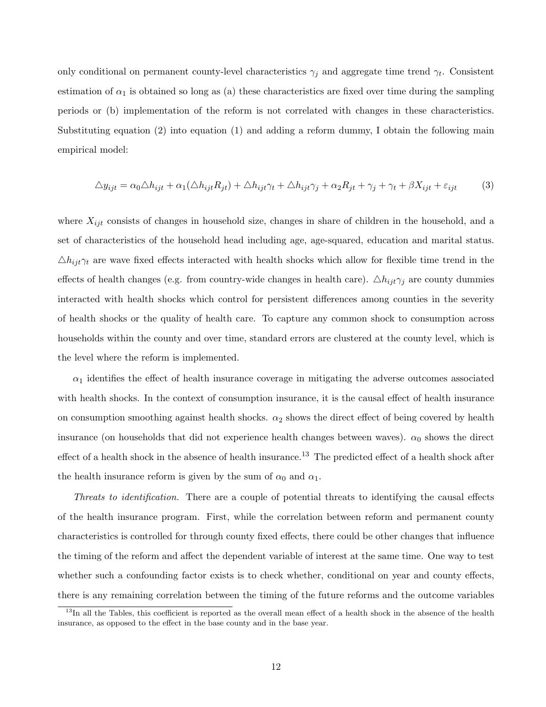only conditional on permanent county-level characteristics  $\gamma_j$  and aggregate time trend  $\gamma_t$ . Consistent estimation of  $\alpha_1$  is obtained so long as (a) these characteristics are fixed over time during the sampling periods or (b) implementation of the reform is not correlated with changes in these characteristics. Substituting equation (2) into equation (1) and adding a reform dummy, I obtain the following main empirical model:

$$
\Delta y_{ijt} = \alpha_0 \Delta h_{ijt} + \alpha_1 (\Delta h_{ijt} R_{jt}) + \Delta h_{ijt} \gamma_t + \Delta h_{ijt} \gamma_j + \alpha_2 R_{jt} + \gamma_j + \gamma_t + \beta X_{ijt} + \varepsilon_{ijt}
$$
 (3)

where  $X_{ijt}$  consists of changes in household size, changes in share of children in the household, and a set of characteristics of the household head including age, age-squared, education and marital status.  $\triangle h_{ijt}\gamma_t$  are wave fixed effects interacted with health shocks which allow for flexible time trend in the effects of health changes (e.g. from country-wide changes in health care).  $\Delta h_{ijt}\gamma_j$  are county dummies interacted with health shocks which control for persistent differences among counties in the severity of health shocks or the quality of health care. To capture any common shock to consumption across households within the county and over time, standard errors are clustered at the county level, which is the level where the reform is implemented.

 $\alpha_1$  identifies the effect of health insurance coverage in mitigating the adverse outcomes associated with health shocks. In the context of consumption insurance, it is the causal effect of health insurance on consumption smoothing against health shocks.  $\alpha_2$  shows the direct effect of being covered by health insurance (on households that did not experience health changes between waves).  $\alpha_0$  shows the direct effect of a health shock in the absence of health insurance.<sup>13</sup> The predicted effect of a health shock after the health insurance reform is given by the sum of  $\alpha_0$  and  $\alpha_1$ .

Threats to identification. There are a couple of potential threats to identifying the causal effects of the health insurance program. First, while the correlation between reform and permanent county characteristics is controlled for through county fixed effects, there could be other changes that influence the timing of the reform and affect the dependent variable of interest at the same time. One way to test whether such a confounding factor exists is to check whether, conditional on year and county effects, there is any remaining correlation between the timing of the future reforms and the outcome variables

<sup>&</sup>lt;sup>13</sup>In all the Tables, this coefficient is reported as the overall mean effect of a health shock in the absence of the health insurance, as opposed to the effect in the base county and in the base year.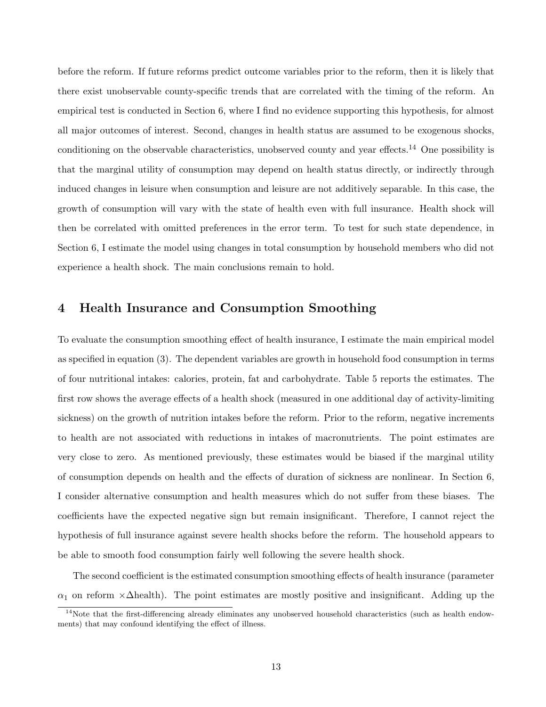before the reform. If future reforms predict outcome variables prior to the reform, then it is likely that there exist unobservable county-specific trends that are correlated with the timing of the reform. An empirical test is conducted in Section 6, where I find no evidence supporting this hypothesis, for almost all major outcomes of interest. Second, changes in health status are assumed to be exogenous shocks, conditioning on the observable characteristics, unobserved county and year effects.<sup>14</sup> One possibility is that the marginal utility of consumption may depend on health status directly, or indirectly through induced changes in leisure when consumption and leisure are not additively separable. In this case, the growth of consumption will vary with the state of health even with full insurance. Health shock will then be correlated with omitted preferences in the error term. To test for such state dependence, in Section 6, I estimate the model using changes in total consumption by household members who did not experience a health shock. The main conclusions remain to hold.

# 4 Health Insurance and Consumption Smoothing

To evaluate the consumption smoothing effect of health insurance, I estimate the main empirical model as specified in equation (3). The dependent variables are growth in household food consumption in terms of four nutritional intakes: calories, protein, fat and carbohydrate. Table 5 reports the estimates. The first row shows the average effects of a health shock (measured in one additional day of activity-limiting sickness) on the growth of nutrition intakes before the reform. Prior to the reform, negative increments to health are not associated with reductions in intakes of macronutrients. The point estimates are very close to zero. As mentioned previously, these estimates would be biased if the marginal utility of consumption depends on health and the effects of duration of sickness are nonlinear. In Section 6, I consider alternative consumption and health measures which do not suffer from these biases. The coefficients have the expected negative sign but remain insignificant. Therefore, I cannot reject the hypothesis of full insurance against severe health shocks before the reform. The household appears to be able to smooth food consumption fairly well following the severe health shock.

The second coefficient is the estimated consumption smoothing effects of health insurance (parameter  $\alpha_1$  on reform  $\times\Delta$ health). The point estimates are mostly positive and insignificant. Adding up the

 $14$ Note that the first-differencing already eliminates any unobserved household characteristics (such as health endowments) that may confound identifying the effect of illness.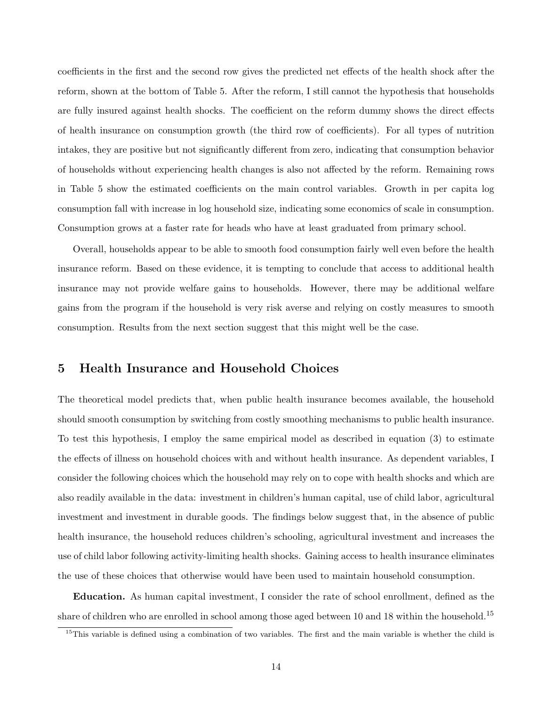coefficients in the first and the second row gives the predicted net effects of the health shock after the reform, shown at the bottom of Table 5. After the reform, I still cannot the hypothesis that households are fully insured against health shocks. The coefficient on the reform dummy shows the direct effects of health insurance on consumption growth (the third row of coefficients). For all types of nutrition intakes, they are positive but not significantly different from zero, indicating that consumption behavior of households without experiencing health changes is also not affected by the reform. Remaining rows in Table 5 show the estimated coefficients on the main control variables. Growth in per capita log consumption fall with increase in log household size, indicating some economics of scale in consumption. Consumption grows at a faster rate for heads who have at least graduated from primary school.

Overall, households appear to be able to smooth food consumption fairly well even before the health insurance reform. Based on these evidence, it is tempting to conclude that access to additional health insurance may not provide welfare gains to households. However, there may be additional welfare gains from the program if the household is very risk averse and relying on costly measures to smooth consumption. Results from the next section suggest that this might well be the case.

# 5 Health Insurance and Household Choices

The theoretical model predicts that, when public health insurance becomes available, the household should smooth consumption by switching from costly smoothing mechanisms to public health insurance. To test this hypothesis, I employ the same empirical model as described in equation (3) to estimate the effects of illness on household choices with and without health insurance. As dependent variables, I consider the following choices which the household may rely on to cope with health shocks and which are also readily available in the data: investment in children's human capital, use of child labor, agricultural investment and investment in durable goods. The findings below suggest that, in the absence of public health insurance, the household reduces children's schooling, agricultural investment and increases the use of child labor following activity-limiting health shocks. Gaining access to health insurance eliminates the use of these choices that otherwise would have been used to maintain household consumption.

Education. As human capital investment, I consider the rate of school enrollment, defined as the share of children who are enrolled in school among those aged between 10 and 18 within the household.<sup>15</sup>

 $15$ This variable is defined using a combination of two variables. The first and the main variable is whether the child is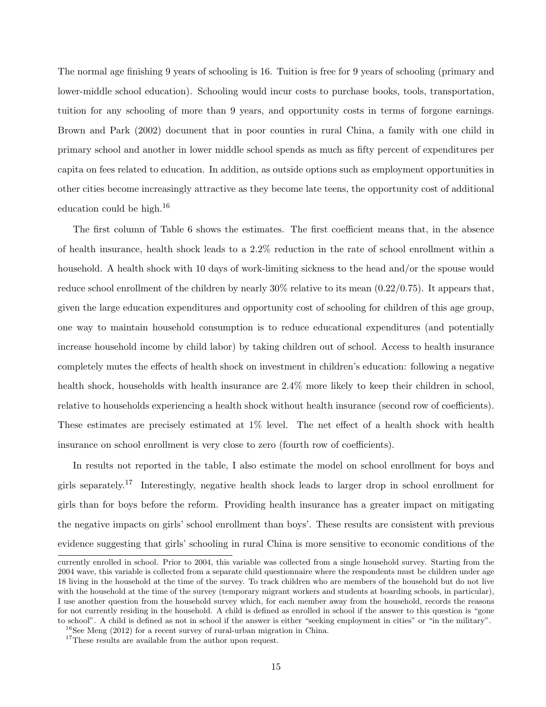The normal age finishing 9 years of schooling is 16. Tuition is free for 9 years of schooling (primary and lower-middle school education). Schooling would incur costs to purchase books, tools, transportation, tuition for any schooling of more than 9 years, and opportunity costs in terms of forgone earnings. Brown and Park (2002) document that in poor counties in rural China, a family with one child in primary school and another in lower middle school spends as much as fifty percent of expenditures per capita on fees related to education. In addition, as outside options such as employment opportunities in other cities become increasingly attractive as they become late teens, the opportunity cost of additional education could be high.<sup>16</sup>

The first column of Table 6 shows the estimates. The first coefficient means that, in the absence of health insurance, health shock leads to a 2.2% reduction in the rate of school enrollment within a household. A health shock with 10 days of work-limiting sickness to the head and/or the spouse would reduce school enrollment of the children by nearly  $30\%$  relative to its mean  $(0.22/0.75)$ . It appears that, given the large education expenditures and opportunity cost of schooling for children of this age group, one way to maintain household consumption is to reduce educational expenditures (and potentially increase household income by child labor) by taking children out of school. Access to health insurance completely mutes the effects of health shock on investment in children's education: following a negative health shock, households with health insurance are 2.4% more likely to keep their children in school, relative to households experiencing a health shock without health insurance (second row of coefficients). These estimates are precisely estimated at 1% level. The net effect of a health shock with health insurance on school enrollment is very close to zero (fourth row of coefficients).

In results not reported in the table, I also estimate the model on school enrollment for boys and girls separately.<sup>17</sup> Interestingly, negative health shock leads to larger drop in school enrollment for girls than for boys before the reform. Providing health insurance has a greater impact on mitigating the negative impacts on girls' school enrollment than boys'. These results are consistent with previous evidence suggesting that girls' schooling in rural China is more sensitive to economic conditions of the

currently enrolled in school. Prior to 2004, this variable was collected from a single household survey. Starting from the 2004 wave, this variable is collected from a separate child questionnaire where the respondents must be children under age 18 living in the household at the time of the survey. To track children who are members of the household but do not live with the household at the time of the survey (temporary migrant workers and students at boarding schools, in particular), I use another question from the household survey which, for each member away from the household, records the reasons for not currently residing in the household. A child is defined as enrolled in school if the answer to this question is "gone to school". A child is defined as not in school if the answer is either "seeking employment in cities" or "in the military".

<sup>16</sup>See Meng (2012) for a recent survey of rural-urban migration in China.

<sup>&</sup>lt;sup>17</sup>These results are available from the author upon request.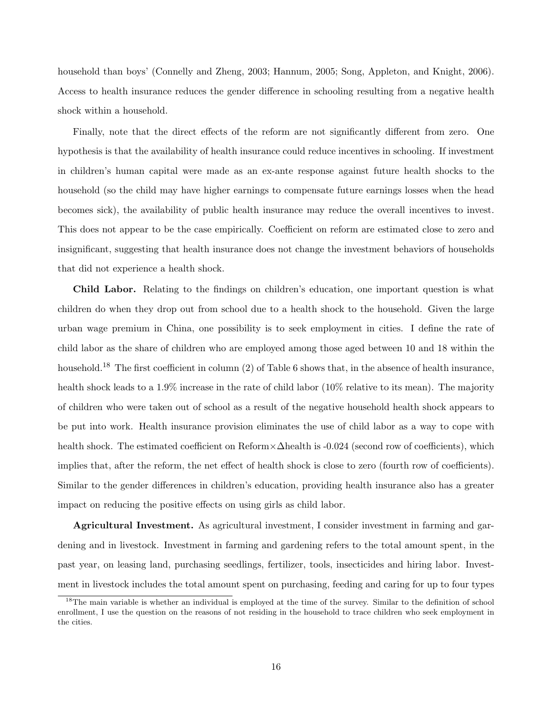household than boys' (Connelly and Zheng, 2003; Hannum, 2005; Song, Appleton, and Knight, 2006). Access to health insurance reduces the gender difference in schooling resulting from a negative health shock within a household.

Finally, note that the direct effects of the reform are not significantly different from zero. One hypothesis is that the availability of health insurance could reduce incentives in schooling. If investment in children's human capital were made as an ex-ante response against future health shocks to the household (so the child may have higher earnings to compensate future earnings losses when the head becomes sick), the availability of public health insurance may reduce the overall incentives to invest. This does not appear to be the case empirically. Coefficient on reform are estimated close to zero and insignificant, suggesting that health insurance does not change the investment behaviors of households that did not experience a health shock.

Child Labor. Relating to the findings on children's education, one important question is what children do when they drop out from school due to a health shock to the household. Given the large urban wage premium in China, one possibility is to seek employment in cities. I define the rate of child labor as the share of children who are employed among those aged between 10 and 18 within the household.<sup>18</sup> The first coefficient in column (2) of Table 6 shows that, in the absence of health insurance, health shock leads to a 1.9% increase in the rate of child labor  $(10\%$  relative to its mean). The majority of children who were taken out of school as a result of the negative household health shock appears to be put into work. Health insurance provision eliminates the use of child labor as a way to cope with health shock. The estimated coefficient on Reform×∆health is -0.024 (second row of coefficients), which implies that, after the reform, the net effect of health shock is close to zero (fourth row of coefficients). Similar to the gender differences in children's education, providing health insurance also has a greater impact on reducing the positive effects on using girls as child labor.

Agricultural Investment. As agricultural investment, I consider investment in farming and gardening and in livestock. Investment in farming and gardening refers to the total amount spent, in the past year, on leasing land, purchasing seedlings, fertilizer, tools, insecticides and hiring labor. Investment in livestock includes the total amount spent on purchasing, feeding and caring for up to four types

<sup>&</sup>lt;sup>18</sup>The main variable is whether an individual is employed at the time of the survey. Similar to the definition of school enrollment, I use the question on the reasons of not residing in the household to trace children who seek employment in the cities.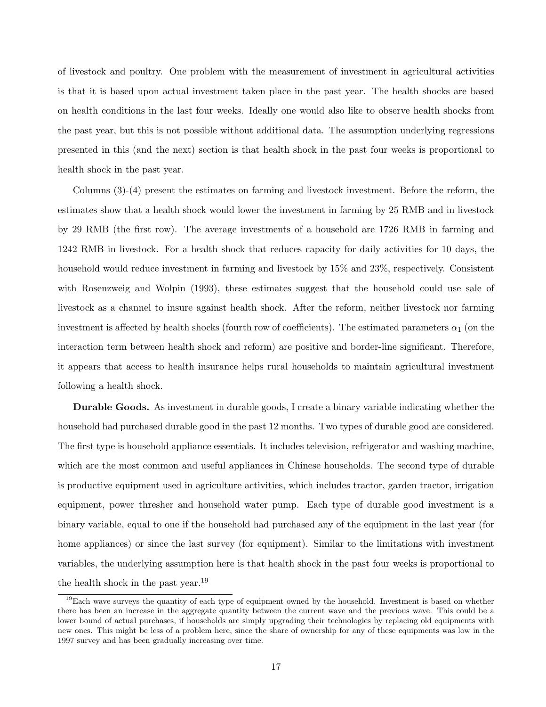of livestock and poultry. One problem with the measurement of investment in agricultural activities is that it is based upon actual investment taken place in the past year. The health shocks are based on health conditions in the last four weeks. Ideally one would also like to observe health shocks from the past year, but this is not possible without additional data. The assumption underlying regressions presented in this (and the next) section is that health shock in the past four weeks is proportional to health shock in the past year.

Columns (3)-(4) present the estimates on farming and livestock investment. Before the reform, the estimates show that a health shock would lower the investment in farming by 25 RMB and in livestock by 29 RMB (the first row). The average investments of a household are 1726 RMB in farming and 1242 RMB in livestock. For a health shock that reduces capacity for daily activities for 10 days, the household would reduce investment in farming and livestock by 15% and 23%, respectively. Consistent with Rosenzweig and Wolpin (1993), these estimates suggest that the household could use sale of livestock as a channel to insure against health shock. After the reform, neither livestock nor farming investment is affected by health shocks (fourth row of coefficients). The estimated parameters  $\alpha_1$  (on the interaction term between health shock and reform) are positive and border-line significant. Therefore, it appears that access to health insurance helps rural households to maintain agricultural investment following a health shock.

Durable Goods. As investment in durable goods, I create a binary variable indicating whether the household had purchased durable good in the past 12 months. Two types of durable good are considered. The first type is household appliance essentials. It includes television, refrigerator and washing machine, which are the most common and useful appliances in Chinese households. The second type of durable is productive equipment used in agriculture activities, which includes tractor, garden tractor, irrigation equipment, power thresher and household water pump. Each type of durable good investment is a binary variable, equal to one if the household had purchased any of the equipment in the last year (for home appliances) or since the last survey (for equipment). Similar to the limitations with investment variables, the underlying assumption here is that health shock in the past four weeks is proportional to the health shock in the past year.<sup>19</sup>

<sup>&</sup>lt;sup>19</sup>Each wave surveys the quantity of each type of equipment owned by the household. Investment is based on whether there has been an increase in the aggregate quantity between the current wave and the previous wave. This could be a lower bound of actual purchases, if households are simply upgrading their technologies by replacing old equipments with new ones. This might be less of a problem here, since the share of ownership for any of these equipments was low in the 1997 survey and has been gradually increasing over time.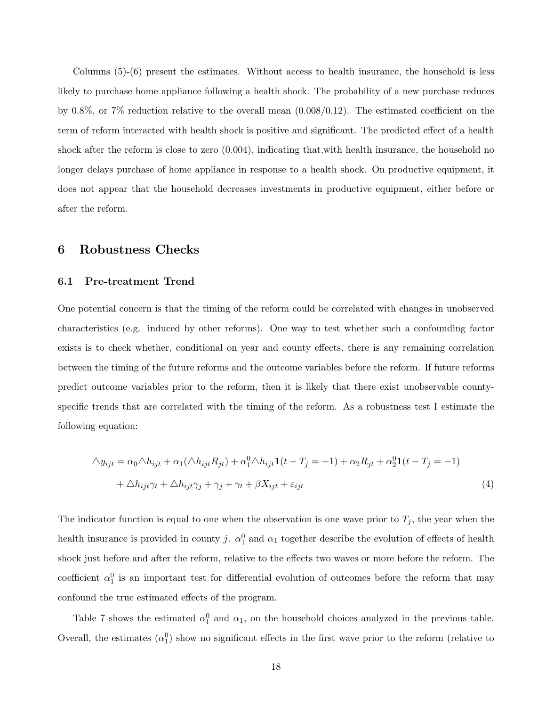Columns (5)-(6) present the estimates. Without access to health insurance, the household is less likely to purchase home appliance following a health shock. The probability of a new purchase reduces by 0.8%, or 7% reduction relative to the overall mean (0.008/0.12). The estimated coefficient on the term of reform interacted with health shock is positive and significant. The predicted effect of a health shock after the reform is close to zero (0.004), indicating that,with health insurance, the household no longer delays purchase of home appliance in response to a health shock. On productive equipment, it does not appear that the household decreases investments in productive equipment, either before or after the reform.

## 6 Robustness Checks

## 6.1 Pre-treatment Trend

One potential concern is that the timing of the reform could be correlated with changes in unobserved characteristics (e.g. induced by other reforms). One way to test whether such a confounding factor exists is to check whether, conditional on year and county effects, there is any remaining correlation between the timing of the future reforms and the outcome variables before the reform. If future reforms predict outcome variables prior to the reform, then it is likely that there exist unobservable countyspecific trends that are correlated with the timing of the reform. As a robustness test I estimate the following equation:

$$
\Delta y_{ijt} = \alpha_0 \Delta h_{ijt} + \alpha_1 (\Delta h_{ijt} R_{jt}) + \alpha_1^0 \Delta h_{ijt} \mathbf{1}(t - T_j = -1) + \alpha_2 R_{jt} + \alpha_2^0 \mathbf{1}(t - T_j = -1)
$$
  
+  $\Delta h_{ijt} \gamma_t + \Delta h_{ijt} \gamma_j + \gamma_j + \gamma_t + \beta X_{ijt} + \varepsilon_{ijt}$  (4)

The indicator function is equal to one when the observation is one wave prior to  $T_j$ , the year when the health insurance is provided in county j.  $\alpha_1^0$  and  $\alpha_1$  together describe the evolution of effects of health shock just before and after the reform, relative to the effects two waves or more before the reform. The coefficient  $\alpha_1^0$  is an important test for differential evolution of outcomes before the reform that may confound the true estimated effects of the program.

Table 7 shows the estimated  $\alpha_1^0$  and  $\alpha_1$ , on the household choices analyzed in the previous table. Overall, the estimates  $(\alpha_1^0)$  show no significant effects in the first wave prior to the reform (relative to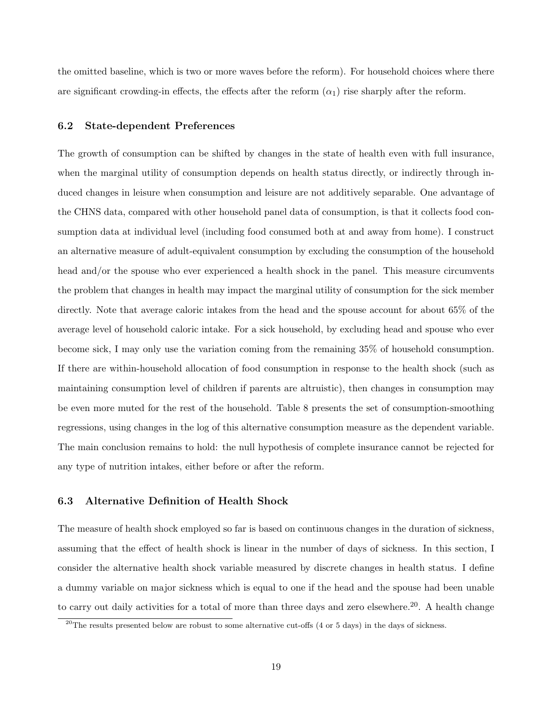the omitted baseline, which is two or more waves before the reform). For household choices where there are significant crowding-in effects, the effects after the reform  $(\alpha_1)$  rise sharply after the reform.

#### 6.2 State-dependent Preferences

The growth of consumption can be shifted by changes in the state of health even with full insurance, when the marginal utility of consumption depends on health status directly, or indirectly through induced changes in leisure when consumption and leisure are not additively separable. One advantage of the CHNS data, compared with other household panel data of consumption, is that it collects food consumption data at individual level (including food consumed both at and away from home). I construct an alternative measure of adult-equivalent consumption by excluding the consumption of the household head and/or the spouse who ever experienced a health shock in the panel. This measure circumvents the problem that changes in health may impact the marginal utility of consumption for the sick member directly. Note that average caloric intakes from the head and the spouse account for about 65% of the average level of household caloric intake. For a sick household, by excluding head and spouse who ever become sick, I may only use the variation coming from the remaining 35% of household consumption. If there are within-household allocation of food consumption in response to the health shock (such as maintaining consumption level of children if parents are altruistic), then changes in consumption may be even more muted for the rest of the household. Table 8 presents the set of consumption-smoothing regressions, using changes in the log of this alternative consumption measure as the dependent variable. The main conclusion remains to hold: the null hypothesis of complete insurance cannot be rejected for any type of nutrition intakes, either before or after the reform.

## 6.3 Alternative Definition of Health Shock

The measure of health shock employed so far is based on continuous changes in the duration of sickness, assuming that the effect of health shock is linear in the number of days of sickness. In this section, I consider the alternative health shock variable measured by discrete changes in health status. I define a dummy variable on major sickness which is equal to one if the head and the spouse had been unable to carry out daily activities for a total of more than three days and zero elsewhere.<sup>20</sup>. A health change

 $^{20}$ The results presented below are robust to some alternative cut-offs (4 or 5 days) in the days of sickness.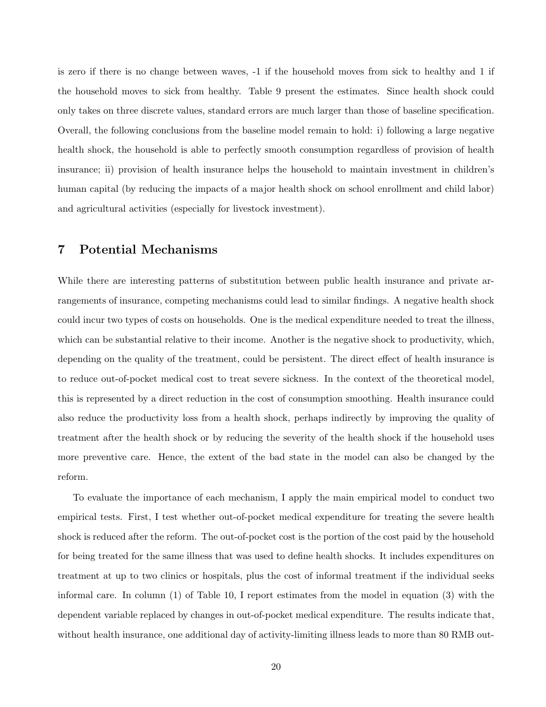is zero if there is no change between waves, -1 if the household moves from sick to healthy and 1 if the household moves to sick from healthy. Table 9 present the estimates. Since health shock could only takes on three discrete values, standard errors are much larger than those of baseline specification. Overall, the following conclusions from the baseline model remain to hold: i) following a large negative health shock, the household is able to perfectly smooth consumption regardless of provision of health insurance; ii) provision of health insurance helps the household to maintain investment in children's human capital (by reducing the impacts of a major health shock on school enrollment and child labor) and agricultural activities (especially for livestock investment).

# 7 Potential Mechanisms

While there are interesting patterns of substitution between public health insurance and private arrangements of insurance, competing mechanisms could lead to similar findings. A negative health shock could incur two types of costs on households. One is the medical expenditure needed to treat the illness, which can be substantial relative to their income. Another is the negative shock to productivity, which, depending on the quality of the treatment, could be persistent. The direct effect of health insurance is to reduce out-of-pocket medical cost to treat severe sickness. In the context of the theoretical model, this is represented by a direct reduction in the cost of consumption smoothing. Health insurance could also reduce the productivity loss from a health shock, perhaps indirectly by improving the quality of treatment after the health shock or by reducing the severity of the health shock if the household uses more preventive care. Hence, the extent of the bad state in the model can also be changed by the reform.

To evaluate the importance of each mechanism, I apply the main empirical model to conduct two empirical tests. First, I test whether out-of-pocket medical expenditure for treating the severe health shock is reduced after the reform. The out-of-pocket cost is the portion of the cost paid by the household for being treated for the same illness that was used to define health shocks. It includes expenditures on treatment at up to two clinics or hospitals, plus the cost of informal treatment if the individual seeks informal care. In column (1) of Table 10, I report estimates from the model in equation (3) with the dependent variable replaced by changes in out-of-pocket medical expenditure. The results indicate that, without health insurance, one additional day of activity-limiting illness leads to more than 80 RMB out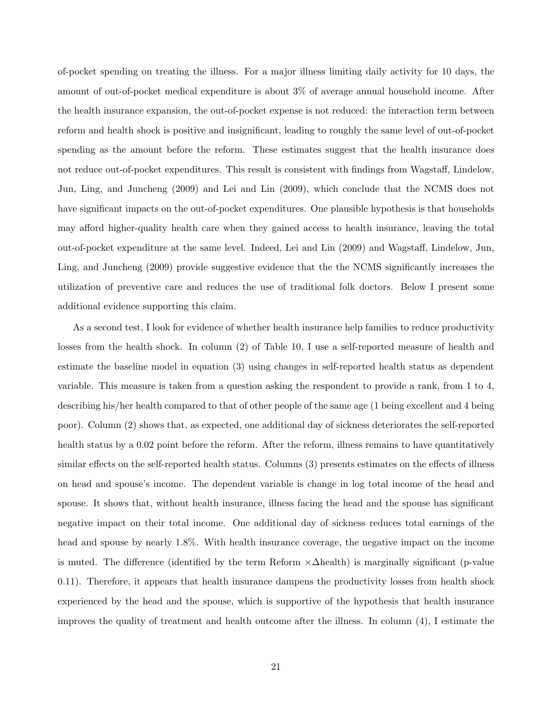of-pocket spending on treating the illness. For a major illness limiting daily activity for 10 days, the amount of out-of-pocket medical expenditure is about 3% of average annual household income. After the health insurance expansion, the out-of-pocket expense is not reduced: the interaction term between reform and health shock is positive and insignificant, leading to roughly the same level of out-of-pocket spending as the amount before the reform. These estimates suggest that the health insurance does not reduce out-of-pocket expenditures. This result is consistent with findings from Wagstaff, Lindelow, Jun, Ling, and Juncheng (2009) and Lei and Lin (2009), which conclude that the NCMS does not have significant impacts on the out-of-pocket expenditures. One plausible hypothesis is that households may afford higher-quality health care when they gained access to health insurance, leaving the total out-of-pocket expenditure at the same level. Indeed, Lei and Lin (2009) and Wagstaff, Lindelow, Jun, Ling, and Juncheng (2009) provide suggestive evidence that the the NCMS significantly increases the utilization of preventive care and reduces the use of traditional folk doctors. Below I present some additional evidence supporting this claim.

As a second test, I look for evidence of whether health insurance help families to reduce productivity losses from the health shock. In column (2) of Table 10, I use a self-reported measure of health and estimate the baseline model in equation (3) using changes in self-reported health status as dependent variable. This measure is taken from a question asking the respondent to provide a rank, from 1 to 4, describing his/her health compared to that of other people of the same age (1 being excellent and 4 being poor). Column (2) shows that, as expected, one additional day of sickness deteriorates the self-reported health status by a 0.02 point before the reform. After the reform, illness remains to have quantitatively similar effects on the self-reported health status. Columns (3) presents estimates on the effects of illness on head and spouse's income. The dependent variable is change in log total income of the head and spouse. It shows that, without health insurance, illness facing the head and the spouse has significant negative impact on their total income. One additional day of sickness reduces total earnings of the head and spouse by nearly 1.8%. With health insurance coverage, the negative impact on the income is muted. The difference (identified by the term Reform  $\times\Delta$ health) is marginally significant (p-value 0.11). Therefore, it appears that health insurance dampens the productivity losses from health shock experienced by the head and the spouse, which is supportive of the hypothesis that health insurance improves the quality of treatment and health outcome after the illness. In column (4), I estimate the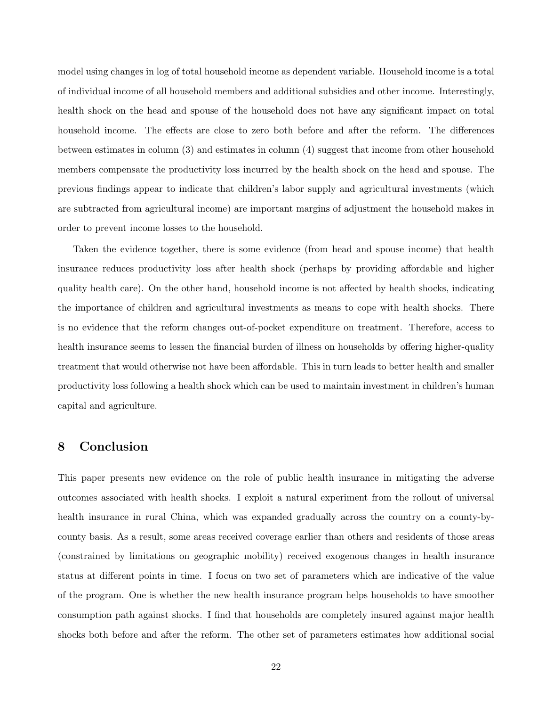model using changes in log of total household income as dependent variable. Household income is a total of individual income of all household members and additional subsidies and other income. Interestingly, health shock on the head and spouse of the household does not have any significant impact on total household income. The effects are close to zero both before and after the reform. The differences between estimates in column (3) and estimates in column (4) suggest that income from other household members compensate the productivity loss incurred by the health shock on the head and spouse. The previous findings appear to indicate that children's labor supply and agricultural investments (which are subtracted from agricultural income) are important margins of adjustment the household makes in order to prevent income losses to the household.

Taken the evidence together, there is some evidence (from head and spouse income) that health insurance reduces productivity loss after health shock (perhaps by providing affordable and higher quality health care). On the other hand, household income is not affected by health shocks, indicating the importance of children and agricultural investments as means to cope with health shocks. There is no evidence that the reform changes out-of-pocket expenditure on treatment. Therefore, access to health insurance seems to lessen the financial burden of illness on households by offering higher-quality treatment that would otherwise not have been affordable. This in turn leads to better health and smaller productivity loss following a health shock which can be used to maintain investment in children's human capital and agriculture.

## 8 Conclusion

This paper presents new evidence on the role of public health insurance in mitigating the adverse outcomes associated with health shocks. I exploit a natural experiment from the rollout of universal health insurance in rural China, which was expanded gradually across the country on a county-bycounty basis. As a result, some areas received coverage earlier than others and residents of those areas (constrained by limitations on geographic mobility) received exogenous changes in health insurance status at different points in time. I focus on two set of parameters which are indicative of the value of the program. One is whether the new health insurance program helps households to have smoother consumption path against shocks. I find that households are completely insured against major health shocks both before and after the reform. The other set of parameters estimates how additional social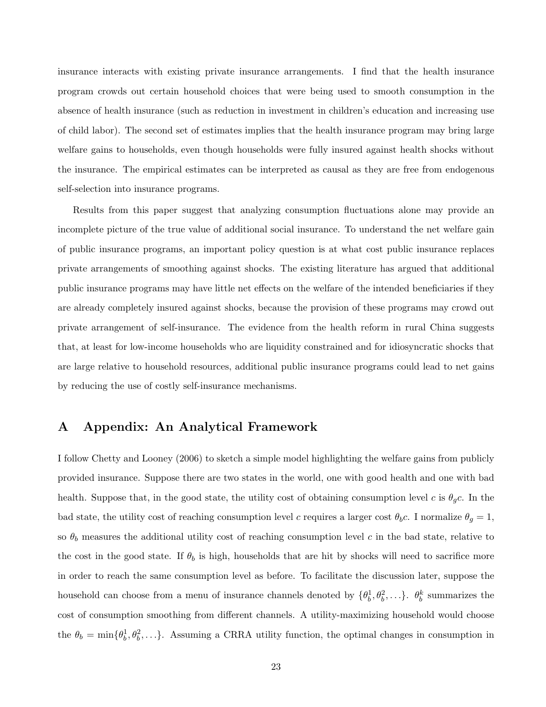insurance interacts with existing private insurance arrangements. I find that the health insurance program crowds out certain household choices that were being used to smooth consumption in the absence of health insurance (such as reduction in investment in children's education and increasing use of child labor). The second set of estimates implies that the health insurance program may bring large welfare gains to households, even though households were fully insured against health shocks without the insurance. The empirical estimates can be interpreted as causal as they are free from endogenous self-selection into insurance programs.

Results from this paper suggest that analyzing consumption fluctuations alone may provide an incomplete picture of the true value of additional social insurance. To understand the net welfare gain of public insurance programs, an important policy question is at what cost public insurance replaces private arrangements of smoothing against shocks. The existing literature has argued that additional public insurance programs may have little net effects on the welfare of the intended beneficiaries if they are already completely insured against shocks, because the provision of these programs may crowd out private arrangement of self-insurance. The evidence from the health reform in rural China suggests that, at least for low-income households who are liquidity constrained and for idiosyncratic shocks that are large relative to household resources, additional public insurance programs could lead to net gains by reducing the use of costly self-insurance mechanisms.

# A Appendix: An Analytical Framework

I follow Chetty and Looney (2006) to sketch a simple model highlighting the welfare gains from publicly provided insurance. Suppose there are two states in the world, one with good health and one with bad health. Suppose that, in the good state, the utility cost of obtaining consumption level c is  $\theta_{g}c$ . In the bad state, the utility cost of reaching consumption level c requires a larger cost  $\theta_b$ c. I normalize  $\theta_g = 1$ , so  $\theta_b$  measures the additional utility cost of reaching consumption level c in the bad state, relative to the cost in the good state. If  $\theta_b$  is high, households that are hit by shocks will need to sacrifice more in order to reach the same consumption level as before. To facilitate the discussion later, suppose the household can choose from a menu of insurance channels denoted by  $\{\theta_b^1, \theta_b^2, \ldots\}$ .  $\theta_b^k$  summarizes the cost of consumption smoothing from different channels. A utility-maximizing household would choose the  $\theta_b = \min{\{\theta_b^1, \theta_b^2, \ldots\}}$ . Assuming a CRRA utility function, the optimal changes in consumption in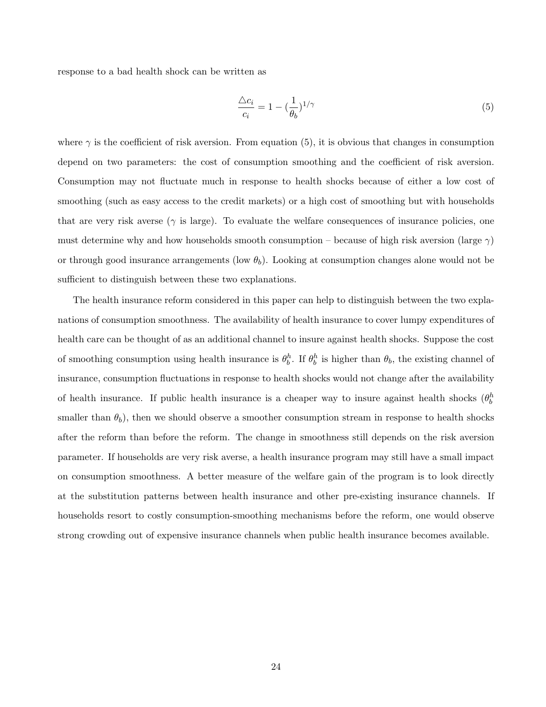response to a bad health shock can be written as

$$
\frac{\triangle c_i}{c_i} = 1 - \left(\frac{1}{\theta_b}\right)^{1/\gamma} \tag{5}
$$

where  $\gamma$  is the coefficient of risk aversion. From equation (5), it is obvious that changes in consumption depend on two parameters: the cost of consumption smoothing and the coefficient of risk aversion. Consumption may not fluctuate much in response to health shocks because of either a low cost of smoothing (such as easy access to the credit markets) or a high cost of smoothing but with households that are very risk averse ( $\gamma$  is large). To evaluate the welfare consequences of insurance policies, one must determine why and how households smooth consumption – because of high risk aversion (large  $\gamma$ ) or through good insurance arrangements (low  $\theta_b$ ). Looking at consumption changes alone would not be sufficient to distinguish between these two explanations.

The health insurance reform considered in this paper can help to distinguish between the two explanations of consumption smoothness. The availability of health insurance to cover lumpy expenditures of health care can be thought of as an additional channel to insure against health shocks. Suppose the cost of smoothing consumption using health insurance is  $\theta_b^h$ . If  $\theta_b^h$  is higher than  $\theta_b$ , the existing channel of insurance, consumption fluctuations in response to health shocks would not change after the availability of health insurance. If public health insurance is a cheaper way to insure against health shocks  $(\theta_b^h)$ smaller than  $\theta_b$ , then we should observe a smoother consumption stream in response to health shocks after the reform than before the reform. The change in smoothness still depends on the risk aversion parameter. If households are very risk averse, a health insurance program may still have a small impact on consumption smoothness. A better measure of the welfare gain of the program is to look directly at the substitution patterns between health insurance and other pre-existing insurance channels. If households resort to costly consumption-smoothing mechanisms before the reform, one would observe strong crowding out of expensive insurance channels when public health insurance becomes available.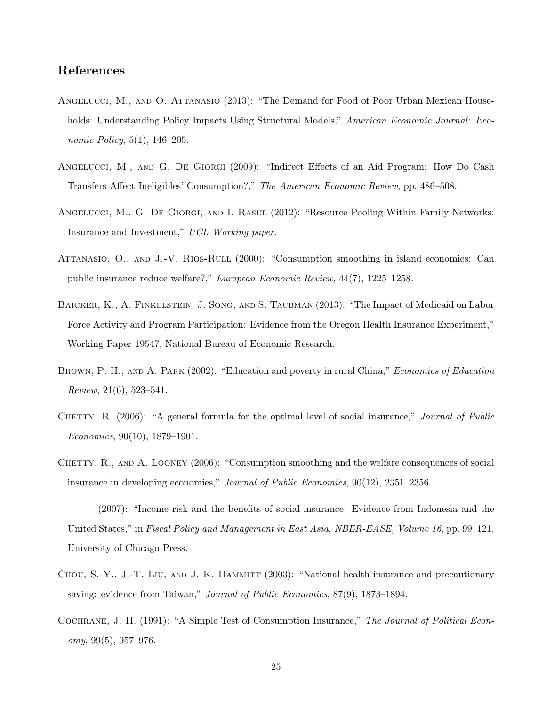# References

- Angelucci, M., and O. Attanasio (2013): "The Demand for Food of Poor Urban Mexican Households: Understanding Policy Impacts Using Structural Models," American Economic Journal: Economic Policy, 5(1), 146–205.
- Angelucci, M., and G. De Giorgi (2009): "Indirect Effects of an Aid Program: How Do Cash Transfers Affect Ineligibles' Consumption?," The American Economic Review, pp. 486–508.
- Angelucci, M., G. De Giorgi, and I. Rasul (2012): "Resource Pooling Within Family Networks: Insurance and Investment," UCL Working paper.
- ATTANASIO, O., AND J.-V. RIOS-RULL (2000): "Consumption smoothing in island economies: Can public insurance reduce welfare?," European Economic Review, 44(7), 1225–1258.
- Baicker, K., A. Finkelstein, J. Song, and S. Taubman (2013): "The Impact of Medicaid on Labor Force Activity and Program Participation: Evidence from the Oregon Health Insurance Experiment," Working Paper 19547, National Bureau of Economic Research.
- BROWN, P. H., AND A. PARK (2002): "Education and poverty in rural China," Economics of Education Review, 21(6), 523–541.
- CHETTY, R. (2006): "A general formula for the optimal level of social insurance," Journal of Public Economics, 90(10), 1879–1901.
- CHETTY,  $R_{\cdot}$ , AND A. LOONEY (2006): "Consumption smoothing and the welfare consequences of social insurance in developing economies," Journal of Public Economics, 90(12), 2351–2356.
- (2007): "Income risk and the benefits of social insurance: Evidence from Indonesia and the United States," in Fiscal Policy and Management in East Asia, NBER-EASE, Volume 16, pp. 99–121. University of Chicago Press.
- CHOU, S.-Y., J.-T. LIU, AND J. K. HAMMITT (2003): "National health insurance and precautionary saving: evidence from Taiwan," Journal of Public Economics, 87(9), 1873–1894.
- COCHRANE, J. H. (1991): "A Simple Test of Consumption Insurance," The Journal of Political Econ $omy, 99(5), 957-976.$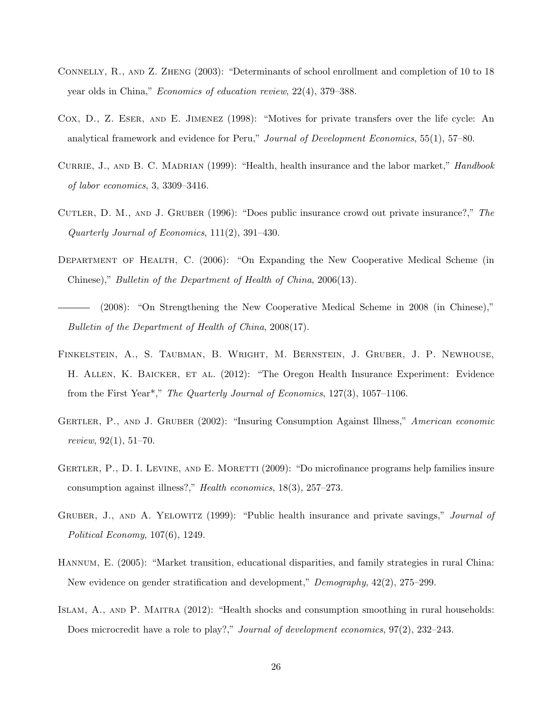- Connelly, R., and Z. Zheng (2003): "Determinants of school enrollment and completion of 10 to 18 year olds in China," Economics of education review, 22(4), 379–388.
- Cox, D., Z. Eser, and E. Jimenez (1998): "Motives for private transfers over the life cycle: An analytical framework and evidence for Peru," Journal of Development Economics, 55(1), 57–80.
- CURRIE, J., AND B. C. MADRIAN (1999): "Health, health insurance and the labor market," *Handbook* of labor economics, 3, 3309–3416.
- CUTLER, D. M., AND J. GRUBER (1996): "Does public insurance crowd out private insurance?," The Quarterly Journal of Economics, 111(2), 391–430.
- Department of Health, C. (2006): "On Expanding the New Cooperative Medical Scheme (in Chinese)," Bulletin of the Department of Health of China, 2006(13).
- (2008): "On Strengthening the New Cooperative Medical Scheme in 2008 (in Chinese)," Bulletin of the Department of Health of China, 2008(17).
- Finkelstein, A., S. Taubman, B. Wright, M. Bernstein, J. Gruber, J. P. Newhouse, H. Allen, K. Baicker, et al. (2012): "The Oregon Health Insurance Experiment: Evidence from the First Year\*," The Quarterly Journal of Economics, 127(3), 1057–1106.
- GERTLER, P., AND J. GRUBER (2002): "Insuring Consumption Against Illness," American economic review, 92(1), 51–70.
- GERTLER, P., D. I. LEVINE, AND E. MORETTI (2009): "Do microfinance programs help families insure consumption against illness?," Health economics, 18(3), 257–273.
- GRUBER, J., AND A. YELOWITZ (1999): "Public health insurance and private savings," *Journal of* Political Economy, 107(6), 1249.
- Hannum, E. (2005): "Market transition, educational disparities, and family strategies in rural China: New evidence on gender stratification and development," Demography, 42(2), 275–299.
- Islam, A., and P. Maitra (2012): "Health shocks and consumption smoothing in rural households: Does microcredit have a role to play?," Journal of development economics, 97(2), 232–243.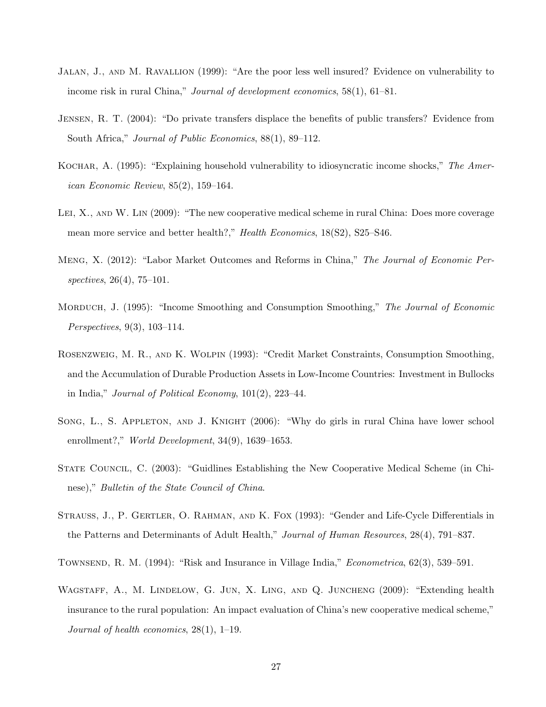- Jalan, J., and M. Ravallion (1999): "Are the poor less well insured? Evidence on vulnerability to income risk in rural China," Journal of development economics, 58(1), 61–81.
- Jensen, R. T. (2004): "Do private transfers displace the benefits of public transfers? Evidence from South Africa," Journal of Public Economics, 88(1), 89–112.
- KOCHAR, A. (1995): "Explaining household vulnerability to idiosyncratic income shocks," The American Economic Review, 85(2), 159–164.
- Lei, X., and W. Lin (2009): "The new cooperative medical scheme in rural China: Does more coverage mean more service and better health?," Health Economics, 18(S2), S25–S46.
- MENG, X. (2012): "Labor Market Outcomes and Reforms in China," The Journal of Economic Perspectives, 26(4), 75–101.
- MORDUCH, J. (1995): "Income Smoothing and Consumption Smoothing," The Journal of Economic Perspectives, 9(3), 103–114.
- Rosenzweig, M. R., and K. Wolpin (1993): "Credit Market Constraints, Consumption Smoothing, and the Accumulation of Durable Production Assets in Low-Income Countries: Investment in Bullocks in India," Journal of Political Economy, 101(2), 223–44.
- SONG, L., S. APPLETON, AND J. KNIGHT (2006): "Why do girls in rural China have lower school enrollment?," World Development, 34(9), 1639–1653.
- State Council, C. (2003): "Guidlines Establishing the New Cooperative Medical Scheme (in Chinese)," Bulletin of the State Council of China.
- Strauss, J., P. Gertler, O. Rahman, and K. Fox (1993): "Gender and Life-Cycle Differentials in the Patterns and Determinants of Adult Health," Journal of Human Resources, 28(4), 791–837.
- TOWNSEND, R. M. (1994): "Risk and Insurance in Village India," *Econometrica*, 62(3), 539–591.
- WAGSTAFF, A., M. LINDELOW, G. JUN, X. LING, AND Q. JUNCHENG (2009): "Extending health insurance to the rural population: An impact evaluation of China's new cooperative medical scheme," Journal of health economics, 28(1), 1–19.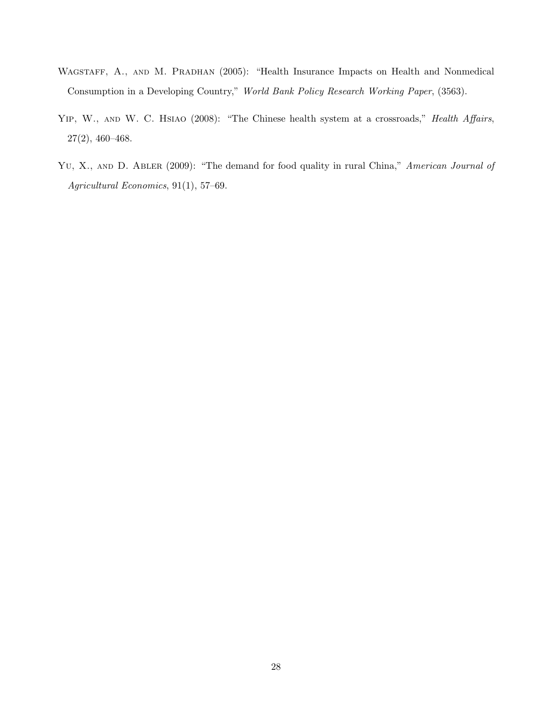- WAGSTAFF, A., AND M. PRADHAN (2005): "Health Insurance Impacts on Health and Nonmedical Consumption in a Developing Country," World Bank Policy Research Working Paper, (3563).
- YIP, W., AND W. C. HSIAO (2008): "The Chinese health system at a crossroads," Health Affairs, 27(2), 460–468.
- YU, X., AND D. ABLER (2009): "The demand for food quality in rural China," American Journal of Agricultural Economics, 91(1), 57–69.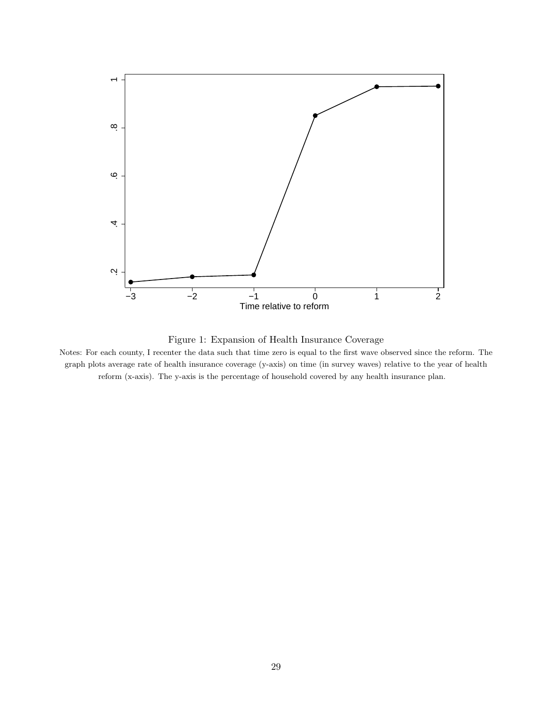



Notes: For each county, I recenter the data such that time zero is equal to the first wave observed since the reform. The graph plots average rate of health insurance coverage (y-axis) on time (in survey waves) relative to the year of health reform (x-axis). The y-axis is the percentage of household covered by any health insurance plan.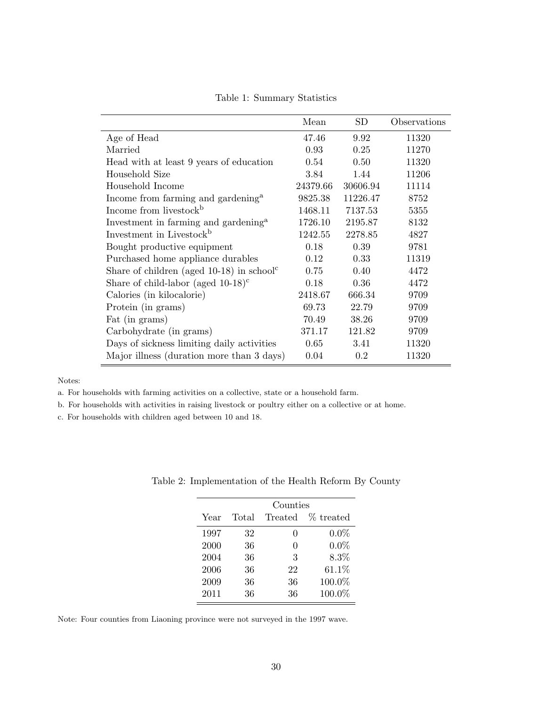|                                                       | Mean     | SD       | Observations |
|-------------------------------------------------------|----------|----------|--------------|
| Age of Head                                           | 47.46    | 9.92     | 11320        |
| Married                                               | 0.93     | 0.25     | 11270        |
| Head with at least 9 years of education               | 0.54     | 0.50     | 11320        |
| Household Size                                        | 3.84     | 1.44     | 11206        |
| Household Income                                      | 24379.66 | 30606.94 | 11114        |
| Income from farming and gardening <sup>a</sup>        | 9825.38  | 11226.47 | 8752         |
| Income from livestock <sup>b</sup>                    | 1468.11  | 7137.53  | 5355         |
| Investment in farming and gardening <sup>a</sup>      | 1726.10  | 2195.87  | 8132         |
| Investment in Livestock <sup>b</sup>                  | 1242.55  | 2278.85  | 4827         |
| Bought productive equipment                           | 0.18     | 0.39     | 9781         |
| Purchased home appliance durables                     | 0.12     | 0.33     | 11319        |
| Share of children (aged 10-18) in school <sup>c</sup> | 0.75     | 0.40     | 4472         |
| Share of child-labor (aged $10-18$ ) <sup>c</sup>     | 0.18     | 0.36     | 4472         |
| Calories (in kilocalorie)                             | 2418.67  | 666.34   | 9709         |
| Protein (in grams)                                    | 69.73    | 22.79    | 9709         |
| Fat (in grams)                                        | 70.49    | 38.26    | 9709         |
| Carbohydrate (in grams)                               | 371.17   | 121.82   | 9709         |
| Days of sickness limiting daily activities            | 0.65     | 3.41     | 11320        |
| Major illness (duration more than 3 days)             | 0.04     | $0.2\,$  | 11320        |

Table 1: Summary Statistics

Notes:

a. For households with farming activities on a collective, state or a household farm.

b. For households with activities in raising livestock or poultry either on a collective or at home.

c. For households with children aged between 10 and 18.

|      |       | Counties     |                   |
|------|-------|--------------|-------------------|
| Year | Total |              | Treated % treated |
| 1997 | 32    | $\mathbf{0}$ | $0.0\%$           |
| 2000 | 36    | 0            | $0.0\%$           |
| 2004 | 36    | 3            | 8.3%              |
| 2006 | 36    | 22           | 61.1%             |
| 2009 | 36    | 36           | 100.0%            |
| 2011 | 36    | 36           | 100.0%            |

Table 2: Implementation of the Health Reform By County

Note: Four counties from Liaoning province were not surveyed in the 1997 wave.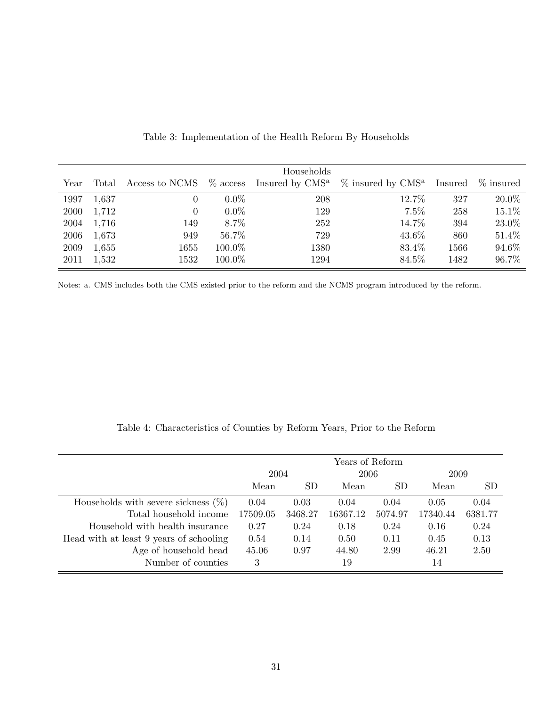|      |       |                |         | Households |                                                                          |         |           |
|------|-------|----------------|---------|------------|--------------------------------------------------------------------------|---------|-----------|
| Year | Total | Access to NCMS |         |            | $\%$ access Insured by CMS <sup>a</sup> $\%$ insured by CMS <sup>a</sup> | Insured | % insured |
| 1997 | 1,637 | 0              | $0.0\%$ | 208        | 12.7\%                                                                   | 327     | 20.0%     |
| 2000 | 1,712 | $\Omega$       | $0.0\%$ | 129        | $7.5\%$                                                                  | 258     | 15.1%     |
| 2004 | 1,716 | 149            | 8.7%    | 252        | 14.7\%                                                                   | 394     | 23.0%     |
| 2006 | 1,673 | 949            | 56.7%   | 729        | 43.6\%                                                                   | 860     | 51.4%     |
| 2009 | 1,655 | 1655           | 100.0%  | 1380       | 83.4\%                                                                   | 1566    | 94.6%     |
| 2011 | 1,532 | 1532           | 100.0%  | 1294       | 84.5%                                                                    | 1482    | 96.7%     |

Table 3: Implementation of the Health Reform By Households

Notes: a. CMS includes both the CMS existed prior to the reform and the NCMS program introduced by the reform.

Table 4: Characteristics of Counties by Reform Years, Prior to the Reform

|                                         |          |         | Years of Reform |         |          |         |
|-----------------------------------------|----------|---------|-----------------|---------|----------|---------|
|                                         | 2004     |         | 2006            |         | 2009     |         |
|                                         | Mean     | SD.     | Mean            | -SD     | Mean     | SD.     |
| Households with severe sickness $(\%)$  | 0.04     | 0.03    | 0.04            | 0.04    | 0.05     | 0.04    |
| Total household income                  | 17509.05 | 3468.27 | 16367.12        | 5074.97 | 17340.44 | 6381.77 |
| Household with health insurance         | 0.27     | 0.24    | 0.18            | 0.24    | 0.16     | 0.24    |
| Head with at least 9 years of schooling | 0.54     | 0.14    | 0.50            | 0.11    | 0.45     | 0.13    |
| Age of household head                   | 45.06    | 0.97    | 44.80           | 2.99    | 46.21    | 2.50    |
| Number of counties                      | 3        |         | 19              |         | 14       |         |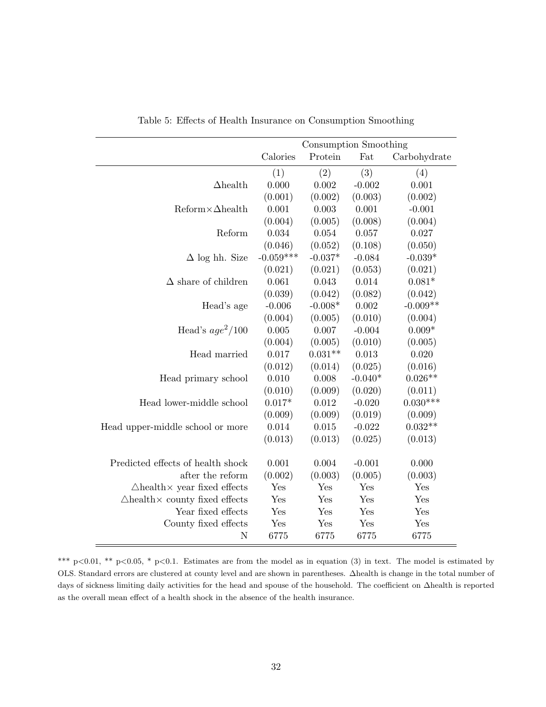|                                                  | Consumption Smoothing |           |           |              |  |
|--------------------------------------------------|-----------------------|-----------|-----------|--------------|--|
|                                                  | Calories              | Protein   | Fat       | Carbohydrate |  |
|                                                  | (1)                   | (2)       | (3)       | (4)          |  |
| $\Delta$ health                                  | 0.000                 | 0.002     | $-0.002$  | 0.001        |  |
|                                                  | (0.001)               | (0.002)   | (0.003)   | (0.002)      |  |
| $Reform \times \Delta$ health                    | 0.001                 | 0.003     | 0.001     | $-0.001$     |  |
|                                                  | (0.004)               | (0.005)   | (0.008)   | (0.004)      |  |
| Reform                                           | 0.034                 | 0.054     | 0.057     | 0.027        |  |
|                                                  | (0.046)               | (0.052)   | (0.108)   | (0.050)      |  |
| $\Delta$ log hh. Size                            | $-0.059***$           | $-0.037*$ | $-0.084$  | $-0.039*$    |  |
|                                                  | (0.021)               | (0.021)   | (0.053)   | (0.021)      |  |
| $\Delta$ share of children                       | 0.061                 | 0.043     | 0.014     | $0.081*$     |  |
|                                                  | (0.039)               | (0.042)   | (0.082)   | (0.042)      |  |
| Head's age                                       | $-0.006$              | $-0.008*$ | 0.002     | $-0.009**$   |  |
|                                                  | (0.004)               | (0.005)   | (0.010)   | (0.004)      |  |
| Head's $age^2/100$                               | 0.005                 | 0.007     | $-0.004$  | $0.009*$     |  |
|                                                  | (0.004)               | (0.005)   | (0.010)   | (0.005)      |  |
| Head married                                     | 0.017                 | $0.031**$ | 0.013     | 0.020        |  |
|                                                  | (0.012)               | (0.014)   | (0.025)   | (0.016)      |  |
| Head primary school                              | 0.010                 | 0.008     | $-0.040*$ | $0.026**$    |  |
|                                                  | (0.010)               | (0.009)   | (0.020)   | (0.011)      |  |
| Head lower-middle school                         | $0.017*$              | 0.012     | $-0.020$  | $0.030***$   |  |
|                                                  | (0.009)               | (0.009)   | (0.019)   | (0.009)      |  |
| Head upper-middle school or more                 | 0.014                 | 0.015     | $-0.022$  | $0.032**$    |  |
|                                                  | (0.013)               | (0.013)   | (0.025)   | (0.013)      |  |
| Predicted effects of health shock                | 0.001                 | 0.004     | $-0.001$  | 0.000        |  |
| after the reform                                 | (0.002)               | (0.003)   | (0.005)   | (0.003)      |  |
| $\triangle$ health× year fixed effects           | Yes                   | Yes       | Yes       | Yes          |  |
| $\triangle$ health $\times$ county fixed effects | Yes                   | Yes       | Yes       | Yes          |  |
| Year fixed effects                               | Yes                   | Yes       | Yes       | Yes          |  |
| County fixed effects                             | Yes                   | Yes       | Yes       | Yes          |  |
| $\mathbf N$                                      | 6775                  | 6775      | 6775      | 6775         |  |

Table 5: Effects of Health Insurance on Consumption Smoothing

<sup>\*\*\*</sup> p<0.01, \*\* p<0.05, \* p<0.1. Estimates are from the model as in equation (3) in text. The model is estimated by OLS. Standard errors are clustered at county level and are shown in parentheses. ∆health is change in the total number of days of sickness limiting daily activities for the head and spouse of the household. The coefficient on ∆health is reported as the overall mean effect of a health shock in the absence of the health insurance.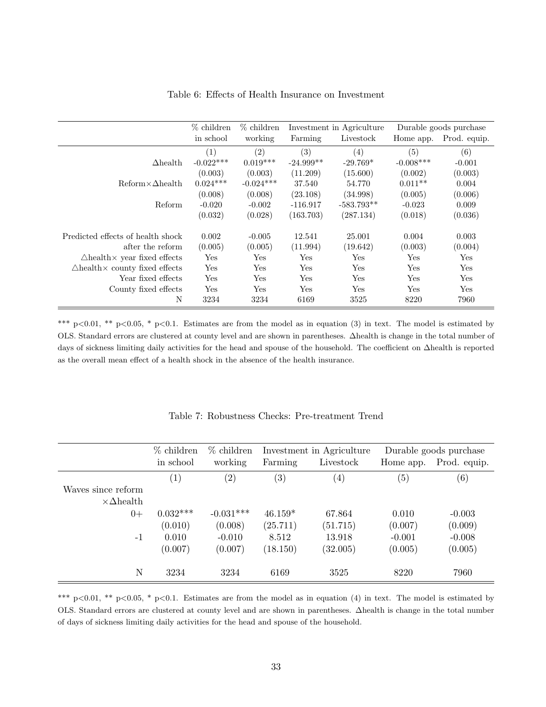|                                                  | % children  | % children  |             | Investment in Agriculture |              | Durable goods purchase |
|--------------------------------------------------|-------------|-------------|-------------|---------------------------|--------------|------------------------|
|                                                  | in school   | working     | Farming     | Livestock                 | Home app.    | Prod. equip.           |
|                                                  | (1)         | (2)         | (3)         | $\left( 4\right)$         | (5)          | (6)                    |
| $\Delta$ health                                  | $-0.022***$ | $0.019***$  | $-24.999**$ | $-29.769*$                | $-0.008$ *** | $-0.001$               |
|                                                  | (0.003)     | (0.003)     | (11.209)    | (15.600)                  | (0.002)      | (0.003)                |
| $Reform \times \Delta$ health                    | $0.024***$  | $-0.024***$ | 37.540      | 54.770                    | $0.011**$    | 0.004                  |
|                                                  | (0.008)     | (0.008)     | (23.108)    | (34.998)                  | (0.005)      | (0.006)                |
| Reform                                           | $-0.020$    | $-0.002$    | $-116.917$  | $-583.793**$              | $-0.023$     | 0.009                  |
|                                                  | (0.032)     | (0.028)     | (163.703)   | (287.134)                 | (0.018)      | (0.036)                |
| Predicted effects of health shock                | 0.002       | $-0.005$    | 12.541      | 25.001                    | 0.004        | 0.003                  |
| after the reform                                 | (0.005)     | (0.005)     | (11.994)    | (19.642)                  | (0.003)      | (0.004)                |
| $\triangle$ health× year fixed effects           | Yes         | Yes         | Yes         | Yes                       | Yes          | Yes                    |
| $\triangle$ health $\times$ county fixed effects | Yes         | Yes         | Yes         | Yes                       | Yes          | Yes                    |
| Year fixed effects                               | Yes         | Yes         | Yes         | Yes                       | Yes          | Yes                    |
| County fixed effects                             | Yes         | Yes         | <b>Yes</b>  | Yes                       | <b>Yes</b>   | Yes                    |
| N                                                | 3234        | 3234        | 6169        | 3525                      | 8220         | 7960                   |

#### Table 6: Effects of Health Insurance on Investment

\*\*\*  $p<0.01$ , \*\*  $p<0.05$ , \*  $p<0.1$ . Estimates are from the model as in equation (3) in text. The model is estimated by OLS. Standard errors are clustered at county level and are shown in parentheses. ∆health is change in the total number of days of sickness limiting daily activities for the head and spouse of the household. The coefficient on ∆health is reported as the overall mean effect of a health shock in the absence of the health insurance.

|                        | % children<br>in school | % children<br>working | Farming           | Investment in Agriculture<br>Livestock | Home app.        | Durable goods purchase<br>Prod. equip. |
|------------------------|-------------------------|-----------------------|-------------------|----------------------------------------|------------------|----------------------------------------|
|                        | (1)                     | $\left( 2\right)$     | $\left( 3\right)$ | $\left( 4\right)$                      | $\left(5\right)$ | (6)                                    |
| Waves since reform     |                         |                       |                   |                                        |                  |                                        |
| $\times \Delta$ health |                         |                       |                   |                                        |                  |                                        |
| $0+$                   | $0.032***$              | $-0.031***$           | $46.159*$         | 67.864                                 | 0.010            | $-0.003$                               |
|                        | (0.010)                 | (0.008)               | (25.711)          | (51.715)                               | (0.007)          | (0.009)                                |
| $-1$                   | 0.010                   | $-0.010$              | 8.512             | 13.918                                 | $-0.001$         | $-0.008$                               |
|                        | (0.007)                 | (0.007)               | (18.150)          | (32.005)                               | (0.005)          | (0.005)                                |
| Ν                      | 3234                    | 3234                  | 6169              | 3525                                   | 8220             | 7960                                   |

Table 7: Robustness Checks: Pre-treatment Trend

\*\*\* p<0.01, \*\* p<0.05, \* p<0.1. Estimates are from the model as in equation (4) in text. The model is estimated by OLS. Standard errors are clustered at county level and are shown in parentheses. ∆health is change in the total number of days of sickness limiting daily activities for the head and spouse of the household.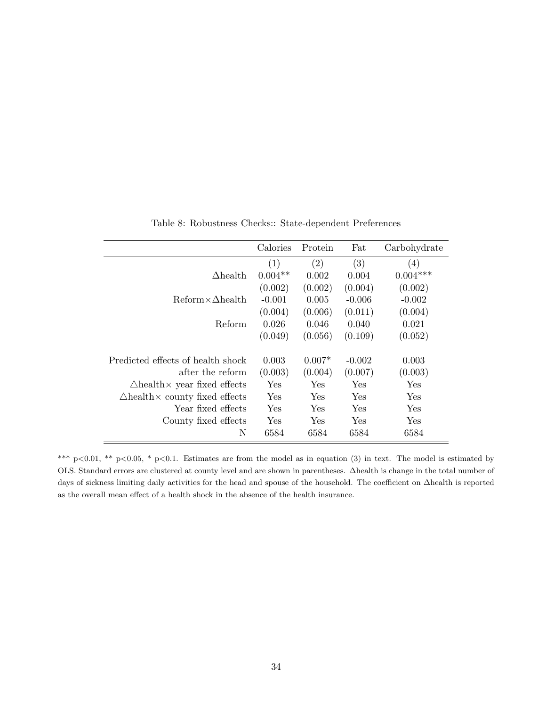|                                                  | Calories   | Protein    | Fat        | Carbohydrate |
|--------------------------------------------------|------------|------------|------------|--------------|
|                                                  | (1)        | (2)        | (3)        | (4)          |
| $\Delta$ health                                  | $0.004**$  | 0.002      | 0.004      | $0.004***$   |
|                                                  | (0.002)    | (0.002)    | (0.004)    | (0.002)      |
| $\operatorname{Reform} \times \Delta$ health     | $-0.001$   | 0.005      | $-0.006$   | $-0.002$     |
|                                                  | (0.004)    | (0.006)    | (0.011)    | (0.004)      |
| Reform                                           | 0.026      | 0.046      | 0.040      | 0.021        |
|                                                  | (0.049)    | (0.056)    | (0.109)    | (0.052)      |
| Predicted effects of health shock                | 0.003      | $0.007*$   | $-0.002$   | 0.003        |
| after the reform                                 | (0.003)    | (0.004)    | (0.007)    | (0.003)      |
| $\triangle$ health× year fixed effects           | Yes        | Yes        | Yes        | Yes          |
| $\triangle$ health $\times$ county fixed effects | <b>Yes</b> | Yes        | Yes        | Yes          |
| Year fixed effects                               | <b>Yes</b> | <b>Yes</b> | <b>Yes</b> | Yes          |
| County fixed effects                             | <b>Yes</b> | Yes        | <b>Yes</b> | Yes          |
| Ν                                                | 6584       | 6584       | 6584       | 6584         |

Table 8: Robustness Checks:: State-dependent Preferences

\*\*\* p<0.01, \*\* p<0.05, \* p<0.1. Estimates are from the model as in equation (3) in text. The model is estimated by OLS. Standard errors are clustered at county level and are shown in parentheses. ∆health is change in the total number of days of sickness limiting daily activities for the head and spouse of the household. The coefficient on ∆health is reported as the overall mean effect of a health shock in the absence of the health insurance.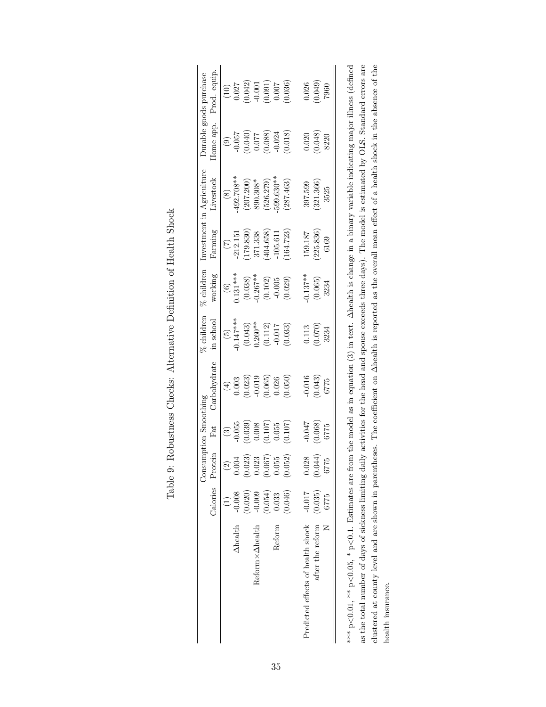|                                                                            |                                                                                    |                                                                                                                        | Consumption Smoothing                                                                                                                                                                                                                                                                                                  |                                                                                | $\%$ children                                                                            | $%$ children                                   |                                                       | Investment in Agriculture                   |                                                                        | Durable goods purchase                                                                   |
|----------------------------------------------------------------------------|------------------------------------------------------------------------------------|------------------------------------------------------------------------------------------------------------------------|------------------------------------------------------------------------------------------------------------------------------------------------------------------------------------------------------------------------------------------------------------------------------------------------------------------------|--------------------------------------------------------------------------------|------------------------------------------------------------------------------------------|------------------------------------------------|-------------------------------------------------------|---------------------------------------------|------------------------------------------------------------------------|------------------------------------------------------------------------------------------|
|                                                                            |                                                                                    | Calories Protein                                                                                                       | Eat                                                                                                                                                                                                                                                                                                                    | Carbohydrate                                                                   | in school                                                                                | working                                        | Farming                                               | ivestock                                    | Home app.                                                              | Prod. equip                                                                              |
|                                                                            | $(1)$                                                                              |                                                                                                                        |                                                                                                                                                                                                                                                                                                                        |                                                                                |                                                                                          | $(6)$<br>0.131***                              | $(7)$<br>-212.151                                     |                                             |                                                                        | (10)                                                                                     |
| <b>Ahealth</b>                                                             |                                                                                    |                                                                                                                        | $(3)$<br>$0.055$                                                                                                                                                                                                                                                                                                       |                                                                                |                                                                                          |                                                |                                                       |                                             |                                                                        |                                                                                          |
|                                                                            |                                                                                    |                                                                                                                        |                                                                                                                                                                                                                                                                                                                        |                                                                                |                                                                                          | $(0.038)$<br>0.267**                           | $(179.830)$<br>$371.338$<br>$(404.658)$<br>$-105.611$ | $(8)$<br>492.708**<br>(207.200)<br>890.308* |                                                                        |                                                                                          |
| $Reform \times \Delta heat$                                                |                                                                                    |                                                                                                                        |                                                                                                                                                                                                                                                                                                                        |                                                                                |                                                                                          |                                                |                                                       |                                             |                                                                        |                                                                                          |
|                                                                            |                                                                                    |                                                                                                                        |                                                                                                                                                                                                                                                                                                                        |                                                                                |                                                                                          |                                                |                                                       | $(526.279)$<br>$599.630**$                  |                                                                        |                                                                                          |
| Reform                                                                     |                                                                                    |                                                                                                                        |                                                                                                                                                                                                                                                                                                                        |                                                                                |                                                                                          |                                                |                                                       |                                             |                                                                        |                                                                                          |
|                                                                            | $-0.008$<br>$(0.020)$<br>$-0.009$<br>$(0.054)$<br>$(0.033$<br>$0.033$<br>$(0.046)$ | $\begin{array}{c} (2) \\ 0.004 \\ 0.023 \\ 0.023 \\ 0.067 \\ 0.067 \\ 0.055 \\ 0.03 \\ (0.052) \\ (0.052) \end{array}$ | $\begin{array}{c} (1008) \\ (1008) \\ (10107) \\ (0.055) \\ (0.055) \\ (0.057) \\ (0.059) \\ (0.050) \\ (0.050) \\ (0.050) \\ (0.050) \\ (0.050) \\ (0.050) \\ (0.050) \\ (0.050) \\ (0.050) \\ (0.050) \\ (0.050) \\ (0.050) \\ (0.050) \\ (0.050) \\ (0.050) \\ (0.050) \\ (0.050) \\ (0.050) \\ (0.050) \\ (0.050)$ | $(4)$<br>$0.003$<br>$(0.023)$<br>$-0.019$<br>$(0.065)$<br>$0.026$<br>$(0.050)$ | $\begin{array}{c} (5)\\0.147***\\(0.043)\\(0.043)\\0.260**\\(0.112)\\-0.017 \end{array}$ | $(0.102)$<br>$-0.005$<br>$(0.029)$             | (164.723)                                             | (287.463)                                   | $(810.0)$<br>$(0.040)$<br>$(0.040)$<br>$(770.0)$<br>$(770.0)$<br>$(6)$ | $\begin{array}{c} 0.027 \\ (0.042) \\ -0.001 \\ (0.091) \\ 0.007 \\ (0.036) \end{array}$ |
| Predicted effects of health shock                                          | 710.0-                                                                             |                                                                                                                        | <b>LFO:0</b>                                                                                                                                                                                                                                                                                                           |                                                                                |                                                                                          | $0.137***$                                     | 159.187                                               | 397.599                                     |                                                                        |                                                                                          |
| $\begin{tabular}{ll} after the reform & (0.035) \\ N & 6775 \end{tabular}$ |                                                                                    | $\begin{array}{c} 0.028 \\ (0.044) \\ 6775 \end{array}$                                                                | $(0.068)$<br>6775                                                                                                                                                                                                                                                                                                      | $\frac{-0.016}{(0.043)}$<br>$\frac{6775}{6775}$                                | $\frac{0.113}{0.070}$<br>3234                                                            | $\begin{array}{c} (0.065) \\ 3234 \end{array}$ | $(225.836)$<br>6169                                   | $(321.366)$<br>$3525$                       | $\begin{array}{c} 0.020 \\ 0.048 \\ 8220 \end{array}$                  | $\begin{array}{c} 0.026 \\ 0.049 \\ 7960 \end{array}$                                    |
|                                                                            |                                                                                    |                                                                                                                        |                                                                                                                                                                                                                                                                                                                        |                                                                                |                                                                                          |                                                |                                                       |                                             |                                                                        |                                                                                          |
| standard in                                                                |                                                                                    |                                                                                                                        |                                                                                                                                                                                                                                                                                                                        |                                                                                |                                                                                          |                                                |                                                       |                                             |                                                                        |                                                                                          |

| くらい<br>j                                                                                                                  |
|---------------------------------------------------------------------------------------------------------------------------|
| -<br>-<br>-<br>-<br>-<br>-<br>-<br>-<br>-<br><br>-<br><br>-<br><br><br><br><br><br><br><br><br>iquities.                  |
| .<br>.                                                                                                                    |
| Definition<br>$\ddot{\phantom{a}}$<br> <br> <br> <br>                                                                     |
| 1、1、1、1、1、1、1、1、1、1<br>֖֧֧֧֧֧֧֧֦֧ׅ֧֧֧֛֧֛֧֛֧֧֛֧֛֪ׅ֧֛֪ׅ֧֛֪֧֛֛֪ׅ֧֚֚֚֚֚֚֚֡֕֓֕֕֓֕֓֝֓֝֓֝֓֝֓֝֬֝֓֜֓֝֬֓֓֓֓֓֓֓֓֝֬֓<br>$\frac{1}{2}$ |
| $\frac{1}{1}$<br>֧֧֧֧֧֧֧֧֧֧֧֧֧֧֧֧֧֛֧֧֛֧֛֛֪֛֚֚֚֚֚֚֚֚֚֚֝֝֬֝֓֝֬֝֓֝֓֝֬֝֓֝֬֝֬֝֓֝֬֝֬֝֬֝֬֝֓֝֬֝֓֬֝֬֝֬֝֬֝֬֝֬֝֬֝֬֝֬֝֬֝֝             |
| $\mathbf{D}$ of $\mathbf{L}$ and $\mathbf{L}$<br>: Robustnes                                                              |
|                                                                                                                           |
| ن<br>ما<br>į<br>.<br>E<br>Î<br>ŗ                                                                                          |

\*\*\*  $p<0.01$ , \*\*  $p<0.05$ , \*  $p<0.1$ . Estimates are from the model as in equation (3) in text. Ahealth is change in a binary variable indicating major illness (defined as the total number of days of sickness limiting daily activities for the head and spouse exceeds three days). The model is estimated by OLS. Standard errors are clustered at county level and are shown in parentheses. The coefficient on Ahealth is reported as the overall mean effect of a health shock in the absence of the \*\*\* p<0.01, \*\* p<0.05, \* p<0.1. Estimates are from the model as in equation (3) in text. ∆health is change in a binary variable indicating major illness (defined as the total number of days of sickness limiting daily activities for the head and spouse exceeds three days). The model is estimated by OLS. Standard errors are clustered at county level and are shown in parentheses. The coefficient on ∆health is reported as the overall mean effect of a health shock in the absence of the health insurance. health insurance.